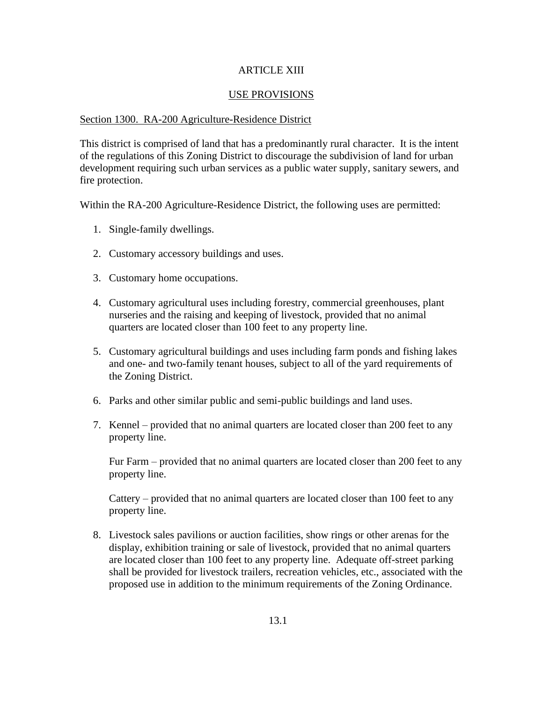## ARTICLE XIII

### USE PROVISIONS

#### Section 1300. RA-200 Agriculture-Residence District

This district is comprised of land that has a predominantly rural character. It is the intent of the regulations of this Zoning District to discourage the subdivision of land for urban development requiring such urban services as a public water supply, sanitary sewers, and fire protection.

Within the RA-200 Agriculture-Residence District, the following uses are permitted:

- 1. Single-family dwellings.
- 2. Customary accessory buildings and uses.
- 3. Customary home occupations.
- 4. Customary agricultural uses including forestry, commercial greenhouses, plant nurseries and the raising and keeping of livestock, provided that no animal quarters are located closer than 100 feet to any property line.
- 5. Customary agricultural buildings and uses including farm ponds and fishing lakes and one- and two-family tenant houses, subject to all of the yard requirements of the Zoning District.
- 6. Parks and other similar public and semi-public buildings and land uses.
- 7. Kennel provided that no animal quarters are located closer than 200 feet to any property line.

Fur Farm – provided that no animal quarters are located closer than 200 feet to any property line.

Cattery – provided that no animal quarters are located closer than 100 feet to any property line.

8. Livestock sales pavilions or auction facilities, show rings or other arenas for the display, exhibition training or sale of livestock, provided that no animal quarters are located closer than 100 feet to any property line. Adequate off-street parking shall be provided for livestock trailers, recreation vehicles, etc., associated with the proposed use in addition to the minimum requirements of the Zoning Ordinance.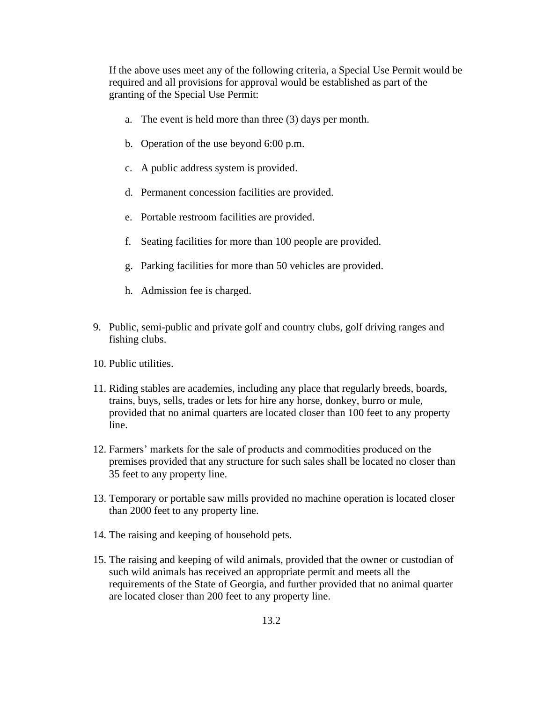If the above uses meet any of the following criteria, a Special Use Permit would be required and all provisions for approval would be established as part of the granting of the Special Use Permit:

- a. The event is held more than three (3) days per month.
- b. Operation of the use beyond 6:00 p.m.
- c. A public address system is provided.
- d. Permanent concession facilities are provided.
- e. Portable restroom facilities are provided.
- f. Seating facilities for more than 100 people are provided.
- g. Parking facilities for more than 50 vehicles are provided.
- h. Admission fee is charged.
- 9. Public, semi-public and private golf and country clubs, golf driving ranges and fishing clubs.
- 10. Public utilities.
- 11. Riding stables are academies, including any place that regularly breeds, boards, trains, buys, sells, trades or lets for hire any horse, donkey, burro or mule, provided that no animal quarters are located closer than 100 feet to any property line.
- 12. Farmers' markets for the sale of products and commodities produced on the premises provided that any structure for such sales shall be located no closer than 35 feet to any property line.
- 13. Temporary or portable saw mills provided no machine operation is located closer than 2000 feet to any property line.
- 14. The raising and keeping of household pets.
- 15. The raising and keeping of wild animals, provided that the owner or custodian of such wild animals has received an appropriate permit and meets all the requirements of the State of Georgia, and further provided that no animal quarter are located closer than 200 feet to any property line.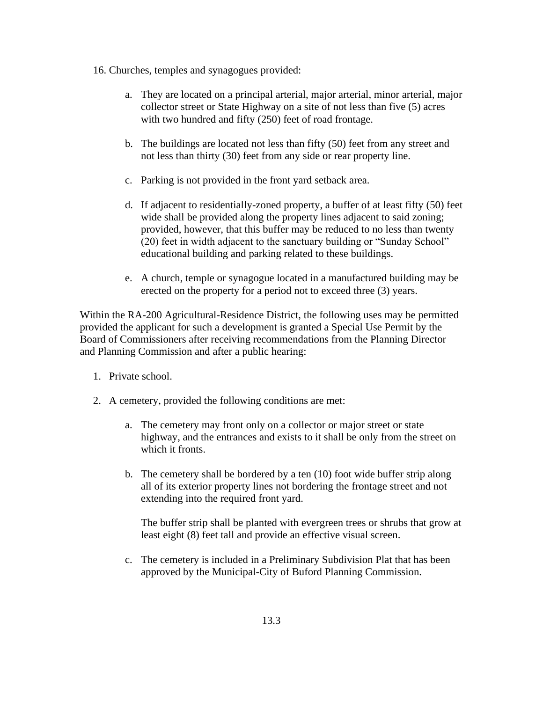- 16. Churches, temples and synagogues provided:
	- a. They are located on a principal arterial, major arterial, minor arterial, major collector street or State Highway on a site of not less than five (5) acres with two hundred and fifty (250) feet of road frontage.
	- b. The buildings are located not less than fifty (50) feet from any street and not less than thirty (30) feet from any side or rear property line.
	- c. Parking is not provided in the front yard setback area.
	- d. If adjacent to residentially-zoned property, a buffer of at least fifty (50) feet wide shall be provided along the property lines adjacent to said zoning; provided, however, that this buffer may be reduced to no less than twenty (20) feet in width adjacent to the sanctuary building or "Sunday School" educational building and parking related to these buildings.
	- e. A church, temple or synagogue located in a manufactured building may be erected on the property for a period not to exceed three (3) years.

Within the RA-200 Agricultural-Residence District, the following uses may be permitted provided the applicant for such a development is granted a Special Use Permit by the Board of Commissioners after receiving recommendations from the Planning Director and Planning Commission and after a public hearing:

- 1. Private school.
- 2. A cemetery, provided the following conditions are met:
	- a. The cemetery may front only on a collector or major street or state highway, and the entrances and exists to it shall be only from the street on which it fronts.
	- b. The cemetery shall be bordered by a ten (10) foot wide buffer strip along all of its exterior property lines not bordering the frontage street and not extending into the required front yard.

The buffer strip shall be planted with evergreen trees or shrubs that grow at least eight (8) feet tall and provide an effective visual screen.

c. The cemetery is included in a Preliminary Subdivision Plat that has been approved by the Municipal-City of Buford Planning Commission.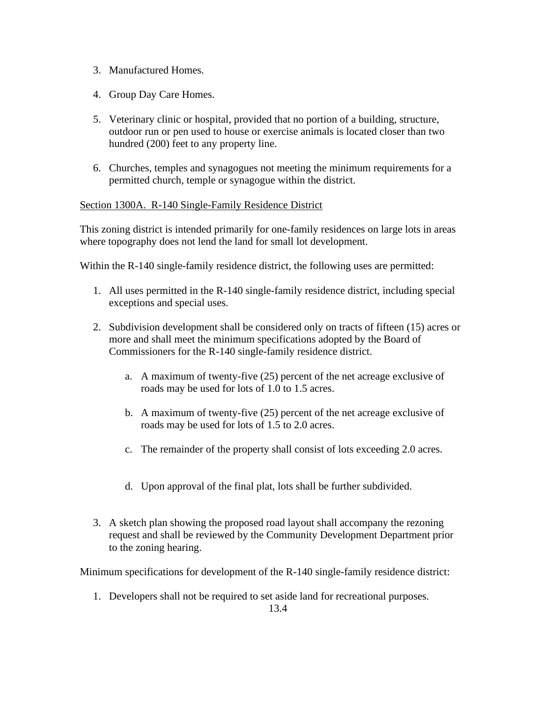- 3. Manufactured Homes.
- 4. Group Day Care Homes.
- 5. Veterinary clinic or hospital, provided that no portion of a building, structure, outdoor run or pen used to house or exercise animals is located closer than two hundred (200) feet to any property line.
- 6. Churches, temples and synagogues not meeting the minimum requirements for a permitted church, temple or synagogue within the district.

### Section 1300A. R-140 Single-Family Residence District

This zoning district is intended primarily for one-family residences on large lots in areas where topography does not lend the land for small lot development.

Within the R-140 single-family residence district, the following uses are permitted:

- 1. All uses permitted in the R-140 single-family residence district, including special exceptions and special uses.
- 2. Subdivision development shall be considered only on tracts of fifteen (15) acres or more and shall meet the minimum specifications adopted by the Board of Commissioners for the R-140 single-family residence district.
	- a. A maximum of twenty-five (25) percent of the net acreage exclusive of roads may be used for lots of 1.0 to 1.5 acres.
	- b. A maximum of twenty-five (25) percent of the net acreage exclusive of roads may be used for lots of 1.5 to 2.0 acres.
	- c. The remainder of the property shall consist of lots exceeding 2.0 acres.
	- d. Upon approval of the final plat, lots shall be further subdivided.
- 3. A sketch plan showing the proposed road layout shall accompany the rezoning request and shall be reviewed by the Community Development Department prior to the zoning hearing.

Minimum specifications for development of the R-140 single-family residence district:

1. Developers shall not be required to set aside land for recreational purposes.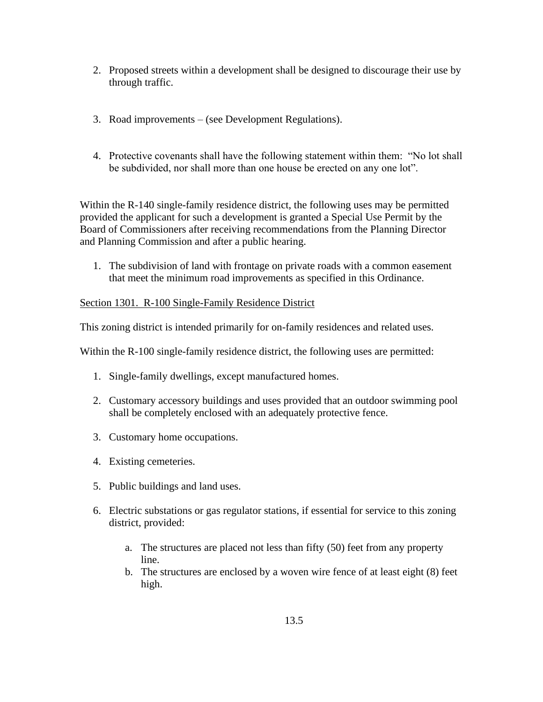- 2. Proposed streets within a development shall be designed to discourage their use by through traffic.
- 3. Road improvements (see Development Regulations).
- 4. Protective covenants shall have the following statement within them: "No lot shall be subdivided, nor shall more than one house be erected on any one lot".

Within the R-140 single-family residence district, the following uses may be permitted provided the applicant for such a development is granted a Special Use Permit by the Board of Commissioners after receiving recommendations from the Planning Director and Planning Commission and after a public hearing.

1. The subdivision of land with frontage on private roads with a common easement that meet the minimum road improvements as specified in this Ordinance.

# Section 1301. R-100 Single-Family Residence District

This zoning district is intended primarily for on-family residences and related uses.

Within the R-100 single-family residence district, the following uses are permitted:

- 1. Single-family dwellings, except manufactured homes.
- 2. Customary accessory buildings and uses provided that an outdoor swimming pool shall be completely enclosed with an adequately protective fence.
- 3. Customary home occupations.
- 4. Existing cemeteries.
- 5. Public buildings and land uses.
- 6. Electric substations or gas regulator stations, if essential for service to this zoning district, provided:
	- a. The structures are placed not less than fifty (50) feet from any property line.
	- b. The structures are enclosed by a woven wire fence of at least eight (8) feet high.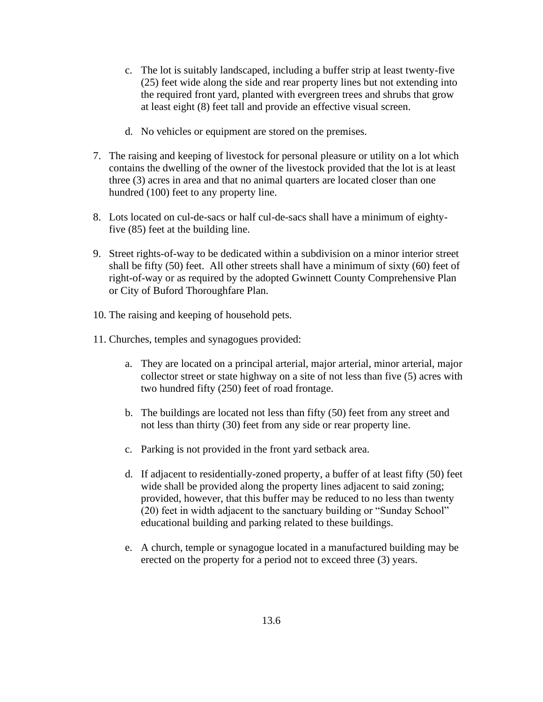- c. The lot is suitably landscaped, including a buffer strip at least twenty-five (25) feet wide along the side and rear property lines but not extending into the required front yard, planted with evergreen trees and shrubs that grow at least eight (8) feet tall and provide an effective visual screen.
- d. No vehicles or equipment are stored on the premises.
- 7. The raising and keeping of livestock for personal pleasure or utility on a lot which contains the dwelling of the owner of the livestock provided that the lot is at least three (3) acres in area and that no animal quarters are located closer than one hundred (100) feet to any property line.
- 8. Lots located on cul-de-sacs or half cul-de-sacs shall have a minimum of eightyfive (85) feet at the building line.
- 9. Street rights-of-way to be dedicated within a subdivision on a minor interior street shall be fifty (50) feet. All other streets shall have a minimum of sixty (60) feet of right-of-way or as required by the adopted Gwinnett County Comprehensive Plan or City of Buford Thoroughfare Plan.
- 10. The raising and keeping of household pets.
- 11. Churches, temples and synagogues provided:
	- a. They are located on a principal arterial, major arterial, minor arterial, major collector street or state highway on a site of not less than five (5) acres with two hundred fifty (250) feet of road frontage.
	- b. The buildings are located not less than fifty (50) feet from any street and not less than thirty (30) feet from any side or rear property line.
	- c. Parking is not provided in the front yard setback area.
	- d. If adjacent to residentially-zoned property, a buffer of at least fifty (50) feet wide shall be provided along the property lines adjacent to said zoning; provided, however, that this buffer may be reduced to no less than twenty (20) feet in width adjacent to the sanctuary building or "Sunday School" educational building and parking related to these buildings.
	- e. A church, temple or synagogue located in a manufactured building may be erected on the property for a period not to exceed three (3) years.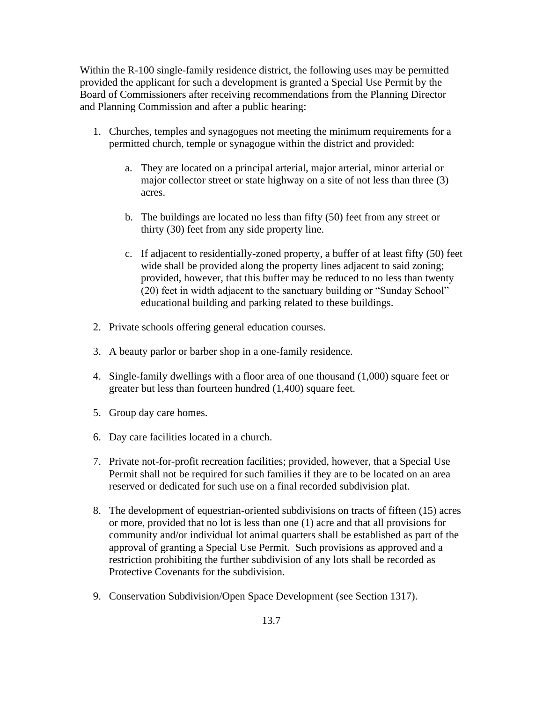Within the R-100 single-family residence district, the following uses may be permitted provided the applicant for such a development is granted a Special Use Permit by the Board of Commissioners after receiving recommendations from the Planning Director and Planning Commission and after a public hearing:

- 1. Churches, temples and synagogues not meeting the minimum requirements for a permitted church, temple or synagogue within the district and provided:
	- a. They are located on a principal arterial, major arterial, minor arterial or major collector street or state highway on a site of not less than three (3) acres.
	- b. The buildings are located no less than fifty (50) feet from any street or thirty (30) feet from any side property line.
	- c. If adjacent to residentially-zoned property, a buffer of at least fifty (50) feet wide shall be provided along the property lines adjacent to said zoning; provided, however, that this buffer may be reduced to no less than twenty (20) feet in width adjacent to the sanctuary building or "Sunday School" educational building and parking related to these buildings.
- 2. Private schools offering general education courses.
- 3. A beauty parlor or barber shop in a one-family residence.
- 4. Single-family dwellings with a floor area of one thousand (1,000) square feet or greater but less than fourteen hundred (1,400) square feet.
- 5. Group day care homes.
- 6. Day care facilities located in a church.
- 7. Private not-for-profit recreation facilities; provided, however, that a Special Use Permit shall not be required for such families if they are to be located on an area reserved or dedicated for such use on a final recorded subdivision plat.
- 8. The development of equestrian-oriented subdivisions on tracts of fifteen (15) acres or more, provided that no lot is less than one (1) acre and that all provisions for community and/or individual lot animal quarters shall be established as part of the approval of granting a Special Use Permit. Such provisions as approved and a restriction prohibiting the further subdivision of any lots shall be recorded as Protective Covenants for the subdivision.
- 9. Conservation Subdivision/Open Space Development (see Section 1317).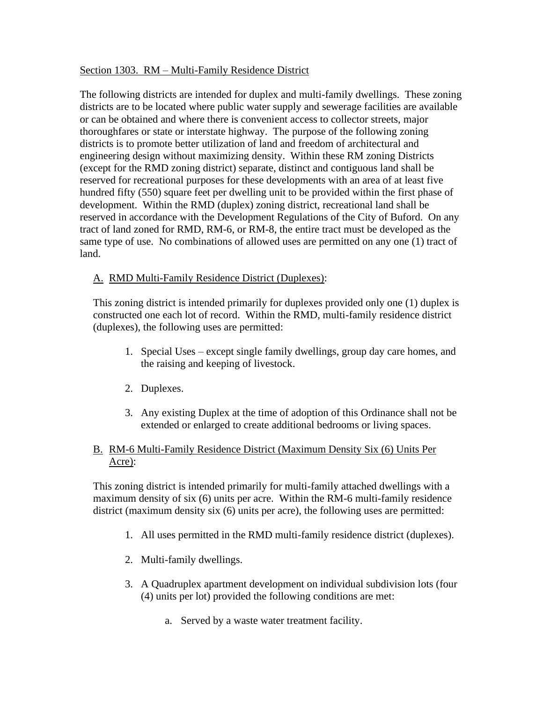## Section 1303. RM – Multi-Family Residence District

The following districts are intended for duplex and multi-family dwellings. These zoning districts are to be located where public water supply and sewerage facilities are available or can be obtained and where there is convenient access to collector streets, major thoroughfares or state or interstate highway. The purpose of the following zoning districts is to promote better utilization of land and freedom of architectural and engineering design without maximizing density. Within these RM zoning Districts (except for the RMD zoning district) separate, distinct and contiguous land shall be reserved for recreational purposes for these developments with an area of at least five hundred fifty (550) square feet per dwelling unit to be provided within the first phase of development. Within the RMD (duplex) zoning district, recreational land shall be reserved in accordance with the Development Regulations of the City of Buford. On any tract of land zoned for RMD, RM-6, or RM-8, the entire tract must be developed as the same type of use. No combinations of allowed uses are permitted on any one (1) tract of land.

### A. RMD Multi-Family Residence District (Duplexes):

This zoning district is intended primarily for duplexes provided only one (1) duplex is constructed one each lot of record. Within the RMD, multi-family residence district (duplexes), the following uses are permitted:

- 1. Special Uses except single family dwellings, group day care homes, and the raising and keeping of livestock.
- 2. Duplexes.
- 3. Any existing Duplex at the time of adoption of this Ordinance shall not be extended or enlarged to create additional bedrooms or living spaces.

## B. RM-6 Multi-Family Residence District (Maximum Density Six (6) Units Per Acre):

This zoning district is intended primarily for multi-family attached dwellings with a maximum density of six (6) units per acre. Within the RM-6 multi-family residence district (maximum density six (6) units per acre), the following uses are permitted:

- 1. All uses permitted in the RMD multi-family residence district (duplexes).
- 2. Multi-family dwellings.
- 3. A Quadruplex apartment development on individual subdivision lots (four (4) units per lot) provided the following conditions are met:
	- a. Served by a waste water treatment facility.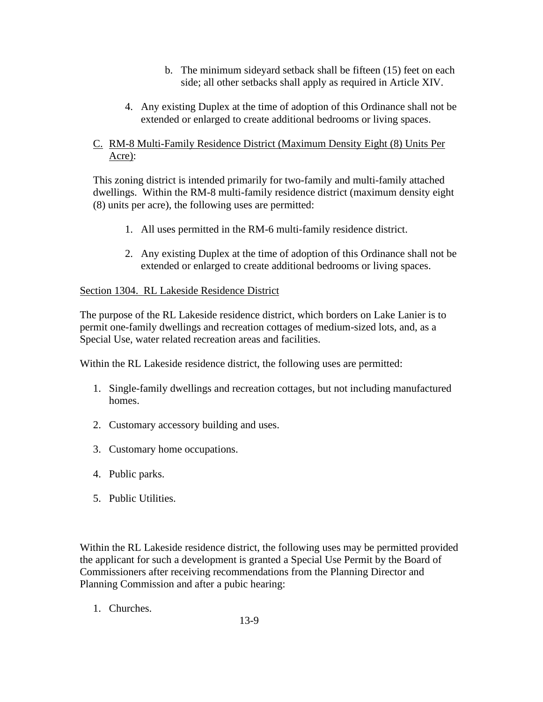- b. The minimum sideyard setback shall be fifteen (15) feet on each side; all other setbacks shall apply as required in Article XIV.
- 4. Any existing Duplex at the time of adoption of this Ordinance shall not be extended or enlarged to create additional bedrooms or living spaces.

# C. RM-8 Multi-Family Residence District (Maximum Density Eight (8) Units Per Acre):

This zoning district is intended primarily for two-family and multi-family attached dwellings. Within the RM-8 multi-family residence district (maximum density eight (8) units per acre), the following uses are permitted:

- 1. All uses permitted in the RM-6 multi-family residence district.
- 2. Any existing Duplex at the time of adoption of this Ordinance shall not be extended or enlarged to create additional bedrooms or living spaces.

# Section 1304. RL Lakeside Residence District

The purpose of the RL Lakeside residence district, which borders on Lake Lanier is to permit one-family dwellings and recreation cottages of medium-sized lots, and, as a Special Use, water related recreation areas and facilities.

Within the RL Lakeside residence district, the following uses are permitted:

- 1. Single-family dwellings and recreation cottages, but not including manufactured homes.
- 2. Customary accessory building and uses.
- 3. Customary home occupations.
- 4. Public parks.
- 5. Public Utilities.

Within the RL Lakeside residence district, the following uses may be permitted provided the applicant for such a development is granted a Special Use Permit by the Board of Commissioners after receiving recommendations from the Planning Director and Planning Commission and after a pubic hearing:

1. Churches.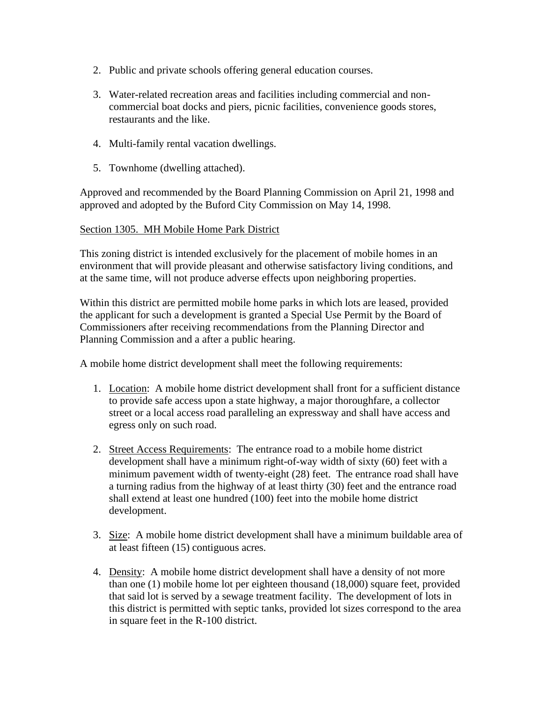- 2. Public and private schools offering general education courses.
- 3. Water-related recreation areas and facilities including commercial and noncommercial boat docks and piers, picnic facilities, convenience goods stores, restaurants and the like.
- 4. Multi-family rental vacation dwellings.
- 5. Townhome (dwelling attached).

Approved and recommended by the Board Planning Commission on April 21, 1998 and approved and adopted by the Buford City Commission on May 14, 1998.

### Section 1305. MH Mobile Home Park District

This zoning district is intended exclusively for the placement of mobile homes in an environment that will provide pleasant and otherwise satisfactory living conditions, and at the same time, will not produce adverse effects upon neighboring properties.

Within this district are permitted mobile home parks in which lots are leased, provided the applicant for such a development is granted a Special Use Permit by the Board of Commissioners after receiving recommendations from the Planning Director and Planning Commission and a after a public hearing.

A mobile home district development shall meet the following requirements:

- 1. Location: A mobile home district development shall front for a sufficient distance to provide safe access upon a state highway, a major thoroughfare, a collector street or a local access road paralleling an expressway and shall have access and egress only on such road.
- 2. Street Access Requirements: The entrance road to a mobile home district development shall have a minimum right-of-way width of sixty (60) feet with a minimum pavement width of twenty-eight (28) feet. The entrance road shall have a turning radius from the highway of at least thirty (30) feet and the entrance road shall extend at least one hundred (100) feet into the mobile home district development.
- 3. Size: A mobile home district development shall have a minimum buildable area of at least fifteen (15) contiguous acres.
- 4. Density: A mobile home district development shall have a density of not more than one (1) mobile home lot per eighteen thousand (18,000) square feet, provided that said lot is served by a sewage treatment facility. The development of lots in this district is permitted with septic tanks, provided lot sizes correspond to the area in square feet in the R-100 district.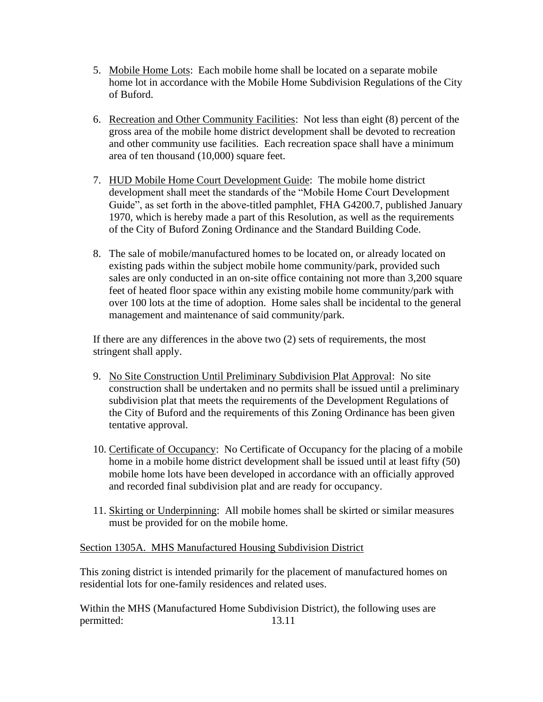- 5. Mobile Home Lots: Each mobile home shall be located on a separate mobile home lot in accordance with the Mobile Home Subdivision Regulations of the City of Buford.
- 6. Recreation and Other Community Facilities: Not less than eight (8) percent of the gross area of the mobile home district development shall be devoted to recreation and other community use facilities. Each recreation space shall have a minimum area of ten thousand (10,000) square feet.
- 7. HUD Mobile Home Court Development Guide: The mobile home district development shall meet the standards of the "Mobile Home Court Development Guide", as set forth in the above-titled pamphlet, FHA G4200.7, published January 1970, which is hereby made a part of this Resolution, as well as the requirements of the City of Buford Zoning Ordinance and the Standard Building Code.
- 8. The sale of mobile/manufactured homes to be located on, or already located on existing pads within the subject mobile home community/park, provided such sales are only conducted in an on-site office containing not more than 3,200 square feet of heated floor space within any existing mobile home community/park with over 100 lots at the time of adoption. Home sales shall be incidental to the general management and maintenance of said community/park.

If there are any differences in the above two (2) sets of requirements, the most stringent shall apply.

- 9. No Site Construction Until Preliminary Subdivision Plat Approval: No site construction shall be undertaken and no permits shall be issued until a preliminary subdivision plat that meets the requirements of the Development Regulations of the City of Buford and the requirements of this Zoning Ordinance has been given tentative approval.
- 10. Certificate of Occupancy: No Certificate of Occupancy for the placing of a mobile home in a mobile home district development shall be issued until at least fifty (50) mobile home lots have been developed in accordance with an officially approved and recorded final subdivision plat and are ready for occupancy.
- 11. Skirting or Underpinning: All mobile homes shall be skirted or similar measures must be provided for on the mobile home.

Section 1305A. MHS Manufactured Housing Subdivision District

This zoning district is intended primarily for the placement of manufactured homes on residential lots for one-family residences and related uses.

Within the MHS (Manufactured Home Subdivision District), the following uses are permitted: 13.11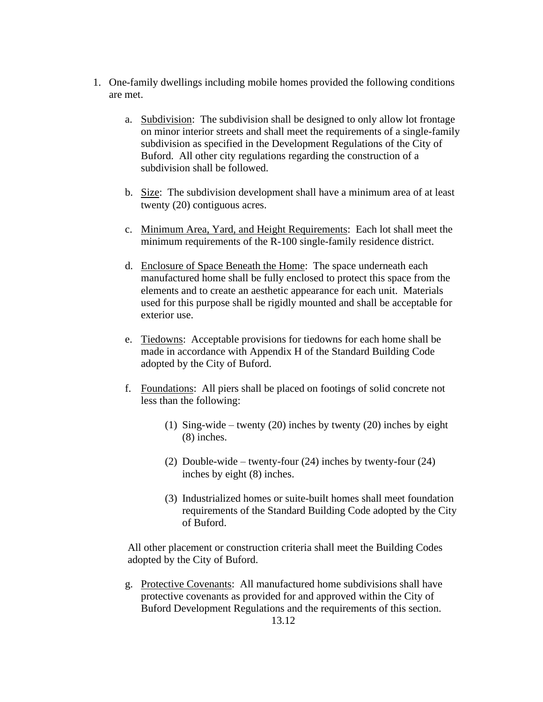- 1. One-family dwellings including mobile homes provided the following conditions are met.
	- a. Subdivision: The subdivision shall be designed to only allow lot frontage on minor interior streets and shall meet the requirements of a single-family subdivision as specified in the Development Regulations of the City of Buford. All other city regulations regarding the construction of a subdivision shall be followed.
	- b. Size: The subdivision development shall have a minimum area of at least twenty (20) contiguous acres.
	- c. Minimum Area, Yard, and Height Requirements: Each lot shall meet the minimum requirements of the R-100 single-family residence district.
	- d. Enclosure of Space Beneath the Home: The space underneath each manufactured home shall be fully enclosed to protect this space from the elements and to create an aesthetic appearance for each unit. Materials used for this purpose shall be rigidly mounted and shall be acceptable for exterior use.
	- e. Tiedowns: Acceptable provisions for tiedowns for each home shall be made in accordance with Appendix H of the Standard Building Code adopted by the City of Buford.
	- f. Foundations: All piers shall be placed on footings of solid concrete not less than the following:
		- (1) Sing-wide twenty (20) inches by twenty (20) inches by eight (8) inches.
		- (2) Double-wide twenty-four (24) inches by twenty-four (24) inches by eight (8) inches.
		- (3) Industrialized homes or suite-built homes shall meet foundation requirements of the Standard Building Code adopted by the City of Buford.

 All other placement or construction criteria shall meet the Building Codes adopted by the City of Buford.

g. Protective Covenants: All manufactured home subdivisions shall have protective covenants as provided for and approved within the City of Buford Development Regulations and the requirements of this section.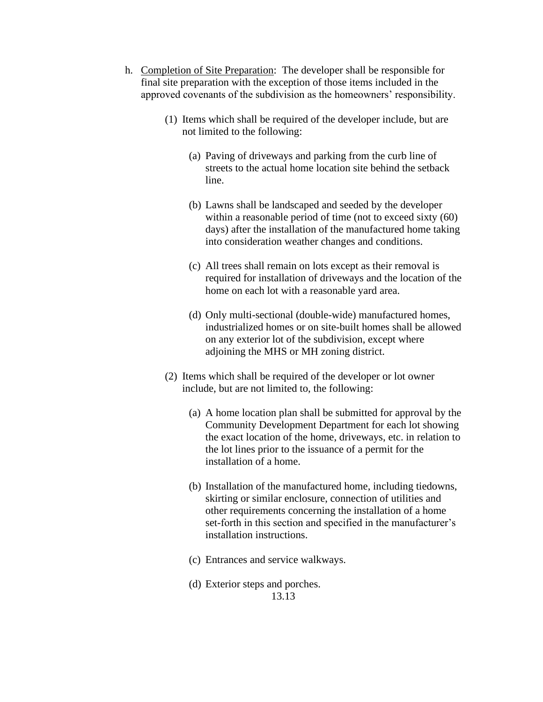- h. Completion of Site Preparation: The developer shall be responsible for final site preparation with the exception of those items included in the approved covenants of the subdivision as the homeowners' responsibility.
	- (1) Items which shall be required of the developer include, but are not limited to the following:
		- (a) Paving of driveways and parking from the curb line of streets to the actual home location site behind the setback line.
		- (b) Lawns shall be landscaped and seeded by the developer within a reasonable period of time (not to exceed sixty (60) days) after the installation of the manufactured home taking into consideration weather changes and conditions.
		- (c) All trees shall remain on lots except as their removal is required for installation of driveways and the location of the home on each lot with a reasonable yard area.
		- (d) Only multi-sectional (double-wide) manufactured homes, industrialized homes or on site-built homes shall be allowed on any exterior lot of the subdivision, except where adjoining the MHS or MH zoning district.
	- (2) Items which shall be required of the developer or lot owner include, but are not limited to, the following:
		- (a) A home location plan shall be submitted for approval by the Community Development Department for each lot showing the exact location of the home, driveways, etc. in relation to the lot lines prior to the issuance of a permit for the installation of a home.
		- (b) Installation of the manufactured home, including tiedowns, skirting or similar enclosure, connection of utilities and other requirements concerning the installation of a home set-forth in this section and specified in the manufacturer's installation instructions.
		- (c) Entrances and service walkways.
		- (d) Exterior steps and porches. 13.13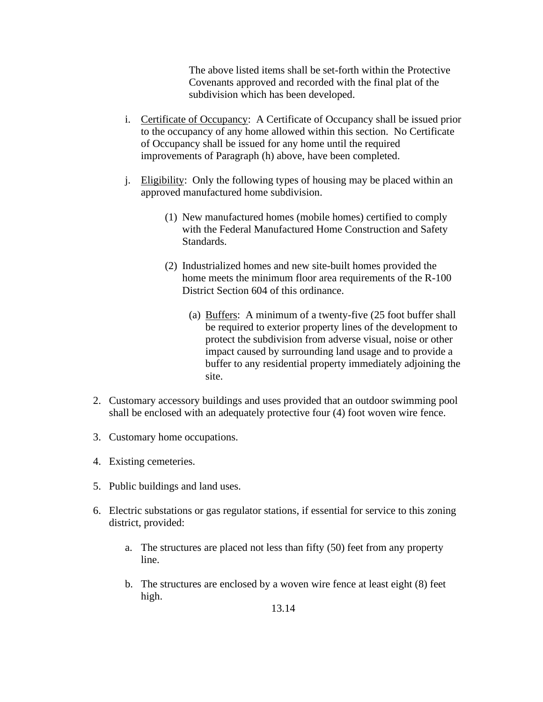The above listed items shall be set-forth within the Protective Covenants approved and recorded with the final plat of the subdivision which has been developed.

- i. Certificate of Occupancy: A Certificate of Occupancy shall be issued prior to the occupancy of any home allowed within this section. No Certificate of Occupancy shall be issued for any home until the required improvements of Paragraph (h) above, have been completed.
- j. Eligibility: Only the following types of housing may be placed within an approved manufactured home subdivision.
	- (1) New manufactured homes (mobile homes) certified to comply with the Federal Manufactured Home Construction and Safety Standards.
	- (2) Industrialized homes and new site-built homes provided the home meets the minimum floor area requirements of the R-100 District Section 604 of this ordinance.
		- (a) Buffers: A minimum of a twenty-five (25 foot buffer shall be required to exterior property lines of the development to protect the subdivision from adverse visual, noise or other impact caused by surrounding land usage and to provide a buffer to any residential property immediately adjoining the site.
- 2. Customary accessory buildings and uses provided that an outdoor swimming pool shall be enclosed with an adequately protective four (4) foot woven wire fence.
- 3. Customary home occupations.
- 4. Existing cemeteries.
- 5. Public buildings and land uses.
- 6. Electric substations or gas regulator stations, if essential for service to this zoning district, provided:
	- a. The structures are placed not less than fifty (50) feet from any property line.
	- b. The structures are enclosed by a woven wire fence at least eight (8) feet high.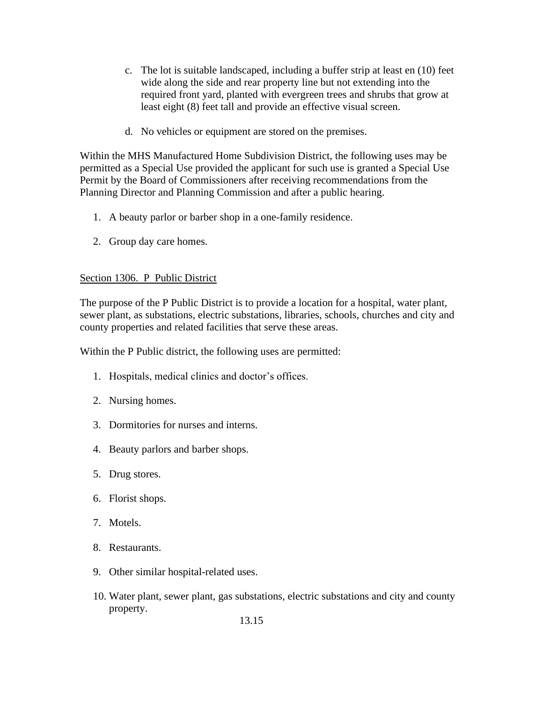- c. The lot is suitable landscaped, including a buffer strip at least en (10) feet wide along the side and rear property line but not extending into the required front yard, planted with evergreen trees and shrubs that grow at least eight (8) feet tall and provide an effective visual screen.
- d. No vehicles or equipment are stored on the premises.

Within the MHS Manufactured Home Subdivision District, the following uses may be permitted as a Special Use provided the applicant for such use is granted a Special Use Permit by the Board of Commissioners after receiving recommendations from the Planning Director and Planning Commission and after a public hearing.

- 1. A beauty parlor or barber shop in a one-family residence.
- 2. Group day care homes.

### Section 1306. P Public District

The purpose of the P Public District is to provide a location for a hospital, water plant, sewer plant, as substations, electric substations, libraries, schools, churches and city and county properties and related facilities that serve these areas.

Within the P Public district, the following uses are permitted:

- 1. Hospitals, medical clinics and doctor's offices.
- 2. Nursing homes.
- 3. Dormitories for nurses and interns.
- 4. Beauty parlors and barber shops.
- 5. Drug stores.
- 6. Florist shops.
- 7. Motels.
- 8. Restaurants.
- 9. Other similar hospital-related uses.
- 10. Water plant, sewer plant, gas substations, electric substations and city and county property.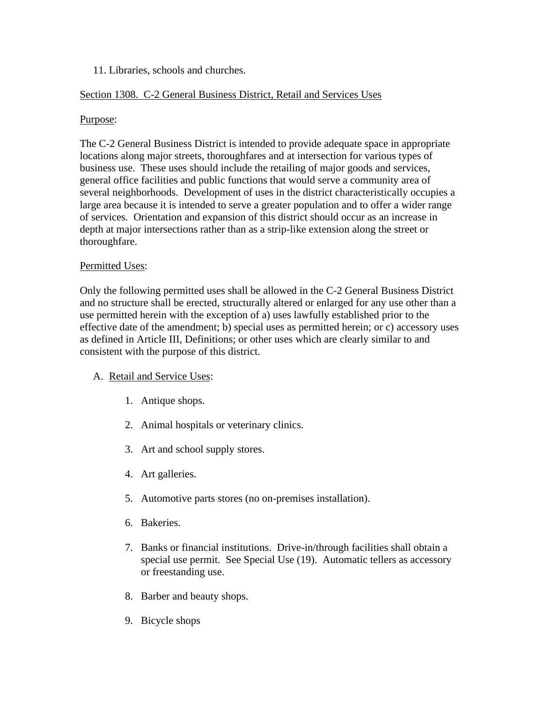## 11. Libraries, schools and churches.

# Section 1308. C-2 General Business District, Retail and Services Uses

## Purpose:

The C-2 General Business District is intended to provide adequate space in appropriate locations along major streets, thoroughfares and at intersection for various types of business use. These uses should include the retailing of major goods and services, general office facilities and public functions that would serve a community area of several neighborhoods. Development of uses in the district characteristically occupies a large area because it is intended to serve a greater population and to offer a wider range of services. Orientation and expansion of this district should occur as an increase in depth at major intersections rather than as a strip-like extension along the street or thoroughfare.

## Permitted Uses:

Only the following permitted uses shall be allowed in the C-2 General Business District and no structure shall be erected, structurally altered or enlarged for any use other than a use permitted herein with the exception of a) uses lawfully established prior to the effective date of the amendment; b) special uses as permitted herein; or c) accessory uses as defined in Article III, Definitions; or other uses which are clearly similar to and consistent with the purpose of this district.

## A. Retail and Service Uses:

- 1. Antique shops.
- 2. Animal hospitals or veterinary clinics.
- 3. Art and school supply stores.
- 4. Art galleries.
- 5. Automotive parts stores (no on-premises installation).
- 6. Bakeries.
- 7. Banks or financial institutions. Drive-in/through facilities shall obtain a special use permit. See Special Use (19). Automatic tellers as accessory or freestanding use.
- 8. Barber and beauty shops.
- 9. Bicycle shops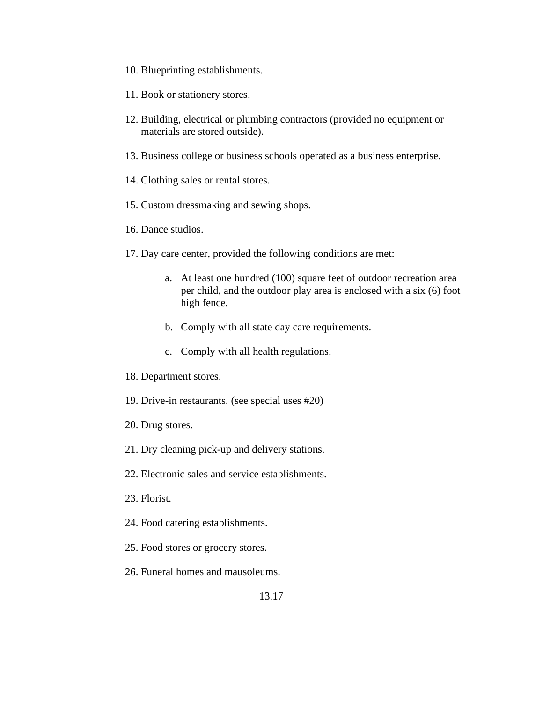- 10. Blueprinting establishments.
- 11. Book or stationery stores.
- 12. Building, electrical or plumbing contractors (provided no equipment or materials are stored outside).
- 13. Business college or business schools operated as a business enterprise.
- 14. Clothing sales or rental stores.
- 15. Custom dressmaking and sewing shops.
- 16. Dance studios.
- 17. Day care center, provided the following conditions are met:
	- a. At least one hundred (100) square feet of outdoor recreation area per child, and the outdoor play area is enclosed with a six (6) foot high fence.
	- b. Comply with all state day care requirements.
	- c. Comply with all health regulations.
- 18. Department stores.
- 19. Drive-in restaurants. (see special uses #20)
- 20. Drug stores.
- 21. Dry cleaning pick-up and delivery stations.
- 22. Electronic sales and service establishments.
- 23. Florist.
- 24. Food catering establishments.
- 25. Food stores or grocery stores.
- 26. Funeral homes and mausoleums.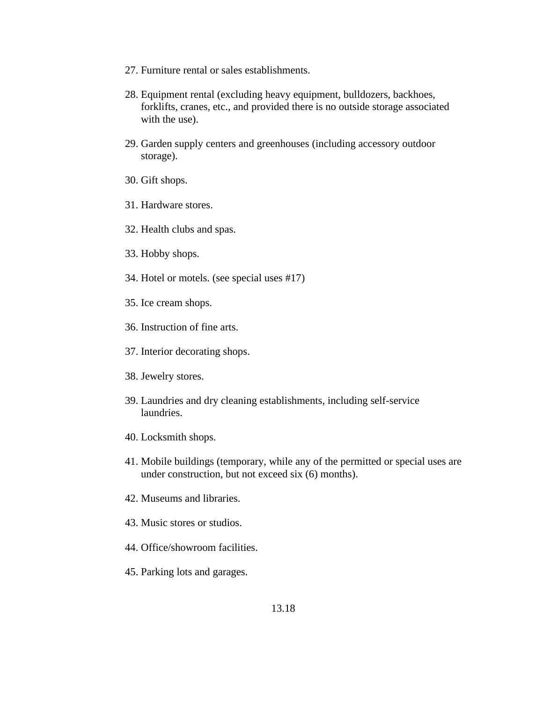- 27. Furniture rental or sales establishments.
- 28. Equipment rental (excluding heavy equipment, bulldozers, backhoes, forklifts, cranes, etc., and provided there is no outside storage associated with the use).
- 29. Garden supply centers and greenhouses (including accessory outdoor storage).
- 30. Gift shops.
- 31. Hardware stores.
- 32. Health clubs and spas.
- 33. Hobby shops.
- 34. Hotel or motels. (see special uses #17)
- 35. Ice cream shops.
- 36. Instruction of fine arts.
- 37. Interior decorating shops.
- 38. Jewelry stores.
- 39. Laundries and dry cleaning establishments, including self-service laundries.
- 40. Locksmith shops.
- 41. Mobile buildings (temporary, while any of the permitted or special uses are under construction, but not exceed six (6) months).
- 42. Museums and libraries.
- 43. Music stores or studios.
- 44. Office/showroom facilities.
- 45. Parking lots and garages.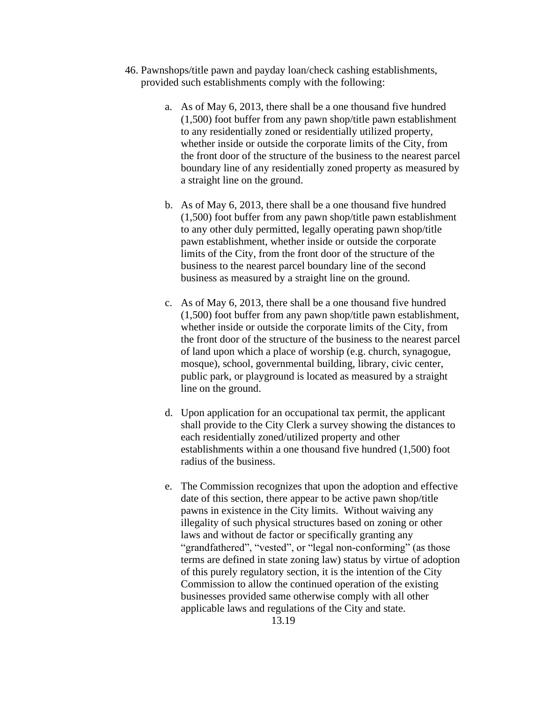- 46. Pawnshops/title pawn and payday loan/check cashing establishments, provided such establishments comply with the following:
	- a. As of May 6, 2013, there shall be a one thousand five hundred (1,500) foot buffer from any pawn shop/title pawn establishment to any residentially zoned or residentially utilized property, whether inside or outside the corporate limits of the City, from the front door of the structure of the business to the nearest parcel boundary line of any residentially zoned property as measured by a straight line on the ground.
	- b. As of May 6, 2013, there shall be a one thousand five hundred (1,500) foot buffer from any pawn shop/title pawn establishment to any other duly permitted, legally operating pawn shop/title pawn establishment, whether inside or outside the corporate limits of the City, from the front door of the structure of the business to the nearest parcel boundary line of the second business as measured by a straight line on the ground.
	- c. As of May 6, 2013, there shall be a one thousand five hundred (1,500) foot buffer from any pawn shop/title pawn establishment, whether inside or outside the corporate limits of the City, from the front door of the structure of the business to the nearest parcel of land upon which a place of worship (e.g. church, synagogue, mosque), school, governmental building, library, civic center, public park, or playground is located as measured by a straight line on the ground.
	- d. Upon application for an occupational tax permit, the applicant shall provide to the City Clerk a survey showing the distances to each residentially zoned/utilized property and other establishments within a one thousand five hundred (1,500) foot radius of the business.
	- e. The Commission recognizes that upon the adoption and effective date of this section, there appear to be active pawn shop/title pawns in existence in the City limits. Without waiving any illegality of such physical structures based on zoning or other laws and without de factor or specifically granting any "grandfathered", "vested", or "legal non-conforming" (as those terms are defined in state zoning law) status by virtue of adoption of this purely regulatory section, it is the intention of the City Commission to allow the continued operation of the existing businesses provided same otherwise comply with all other applicable laws and regulations of the City and state.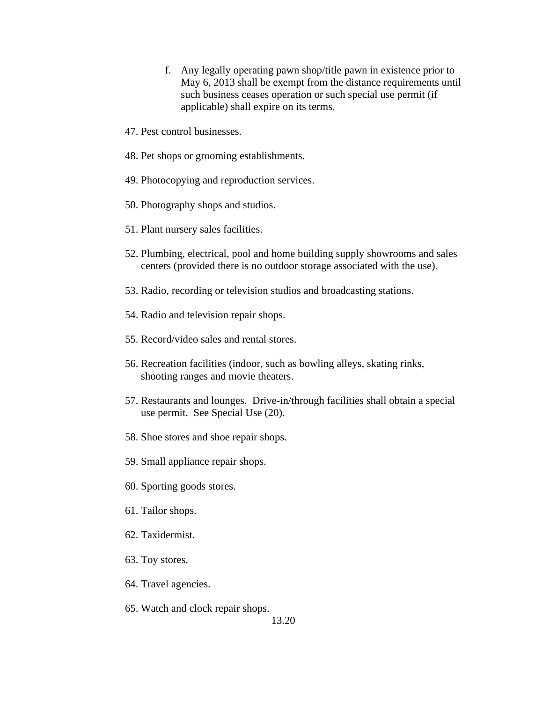- f. Any legally operating pawn shop/title pawn in existence prior to May 6, 2013 shall be exempt from the distance requirements until such business ceases operation or such special use permit (if applicable) shall expire on its terms.
- 47. Pest control businesses.
- 48. Pet shops or grooming establishments.
- 49. Photocopying and reproduction services.
- 50. Photography shops and studios.
- 51. Plant nursery sales facilities.
- 52. Plumbing, electrical, pool and home building supply showrooms and sales centers (provided there is no outdoor storage associated with the use).
- 53. Radio, recording or television studios and broadcasting stations.
- 54. Radio and television repair shops.
- 55. Record/video sales and rental stores.
- 56. Recreation facilities (indoor, such as bowling alleys, skating rinks, shooting ranges and movie theaters.
- 57. Restaurants and lounges. Drive-in/through facilities shall obtain a special use permit. See Special Use (20).
- 58. Shoe stores and shoe repair shops.
- 59. Small appliance repair shops.
- 60. Sporting goods stores.
- 61. Tailor shops.
- 62. Taxidermist.
- 63. Toy stores.
- 64. Travel agencies.
- 65. Watch and clock repair shops.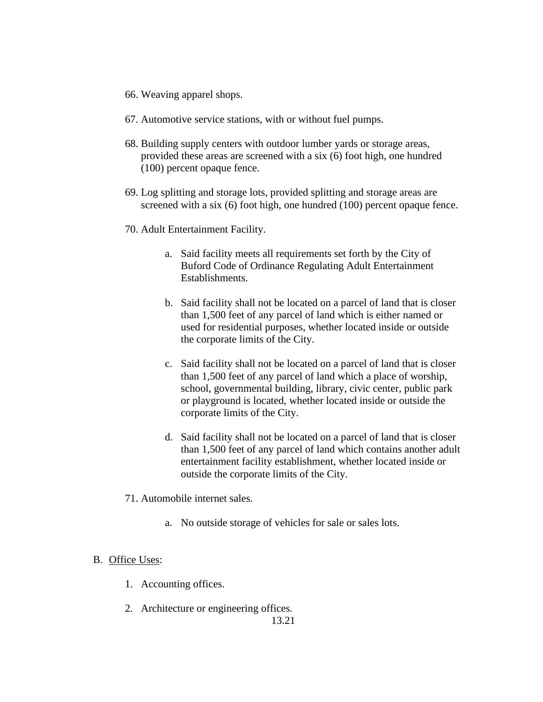- 66. Weaving apparel shops.
- 67. Automotive service stations, with or without fuel pumps.
- 68. Building supply centers with outdoor lumber yards or storage areas, provided these areas are screened with a six (6) foot high, one hundred (100) percent opaque fence.
- 69. Log splitting and storage lots, provided splitting and storage areas are screened with a six (6) foot high, one hundred (100) percent opaque fence.
- 70. Adult Entertainment Facility.
	- a. Said facility meets all requirements set forth by the City of Buford Code of Ordinance Regulating Adult Entertainment Establishments.
	- b. Said facility shall not be located on a parcel of land that is closer than 1,500 feet of any parcel of land which is either named or used for residential purposes, whether located inside or outside the corporate limits of the City.
	- c. Said facility shall not be located on a parcel of land that is closer than 1,500 feet of any parcel of land which a place of worship, school, governmental building, library, civic center, public park or playground is located, whether located inside or outside the corporate limits of the City.
	- d. Said facility shall not be located on a parcel of land that is closer than 1,500 feet of any parcel of land which contains another adult entertainment facility establishment, whether located inside or outside the corporate limits of the City.
- 71. Automobile internet sales.
	- a. No outside storage of vehicles for sale or sales lots.

### B. Office Uses:

- 1. Accounting offices.
- 2. Architecture or engineering offices.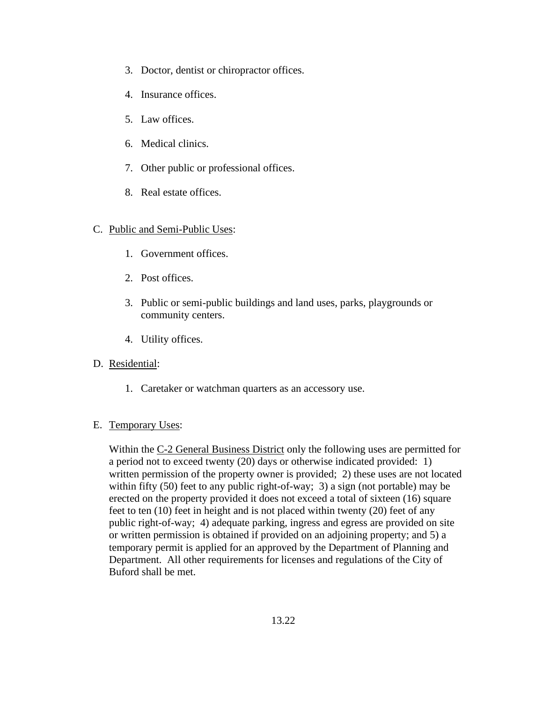- 3. Doctor, dentist or chiropractor offices.
- 4. Insurance offices.
- 5. Law offices.
- 6. Medical clinics.
- 7. Other public or professional offices.
- 8. Real estate offices.

### C. Public and Semi-Public Uses:

- 1. Government offices.
- 2. Post offices.
- 3. Public or semi-public buildings and land uses, parks, playgrounds or community centers.
- 4. Utility offices.
- D. Residential:
	- 1. Caretaker or watchman quarters as an accessory use.
- E. Temporary Uses:

Within the C-2 General Business District only the following uses are permitted for a period not to exceed twenty (20) days or otherwise indicated provided: 1) written permission of the property owner is provided; 2) these uses are not located within fifty (50) feet to any public right-of-way; 3) a sign (not portable) may be erected on the property provided it does not exceed a total of sixteen (16) square feet to ten (10) feet in height and is not placed within twenty (20) feet of any public right-of-way; 4) adequate parking, ingress and egress are provided on site or written permission is obtained if provided on an adjoining property; and 5) a temporary permit is applied for an approved by the Department of Planning and Department. All other requirements for licenses and regulations of the City of Buford shall be met.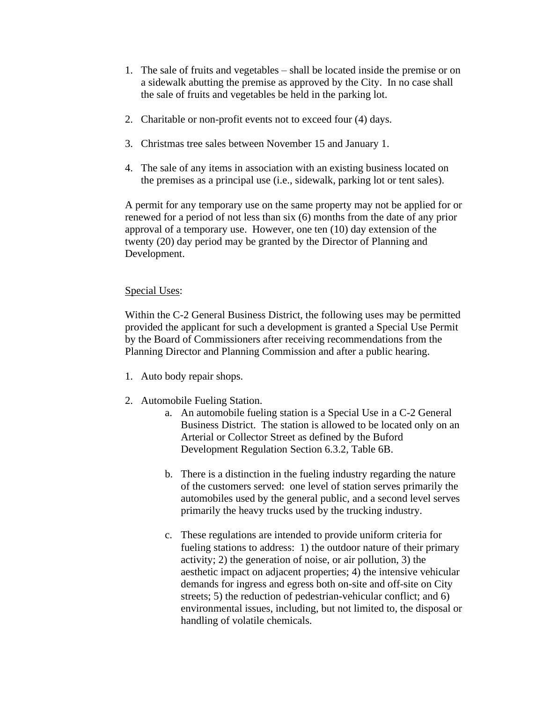- 1. The sale of fruits and vegetables shall be located inside the premise or on a sidewalk abutting the premise as approved by the City. In no case shall the sale of fruits and vegetables be held in the parking lot.
- 2. Charitable or non-profit events not to exceed four (4) days.
- 3. Christmas tree sales between November 15 and January 1.
- 4. The sale of any items in association with an existing business located on the premises as a principal use (i.e., sidewalk, parking lot or tent sales).

A permit for any temporary use on the same property may not be applied for or renewed for a period of not less than six (6) months from the date of any prior approval of a temporary use. However, one ten (10) day extension of the twenty (20) day period may be granted by the Director of Planning and Development.

### Special Uses:

Within the C-2 General Business District, the following uses may be permitted provided the applicant for such a development is granted a Special Use Permit by the Board of Commissioners after receiving recommendations from the Planning Director and Planning Commission and after a public hearing.

- 1. Auto body repair shops.
- 2. Automobile Fueling Station.
	- a. An automobile fueling station is a Special Use in a C-2 General Business District. The station is allowed to be located only on an Arterial or Collector Street as defined by the Buford Development Regulation Section 6.3.2, Table 6B.
	- b. There is a distinction in the fueling industry regarding the nature of the customers served: one level of station serves primarily the automobiles used by the general public, and a second level serves primarily the heavy trucks used by the trucking industry.
	- c. These regulations are intended to provide uniform criteria for fueling stations to address: 1) the outdoor nature of their primary activity; 2) the generation of noise, or air pollution, 3) the aesthetic impact on adjacent properties; 4) the intensive vehicular demands for ingress and egress both on-site and off-site on City streets; 5) the reduction of pedestrian-vehicular conflict; and 6) environmental issues, including, but not limited to, the disposal or handling of volatile chemicals.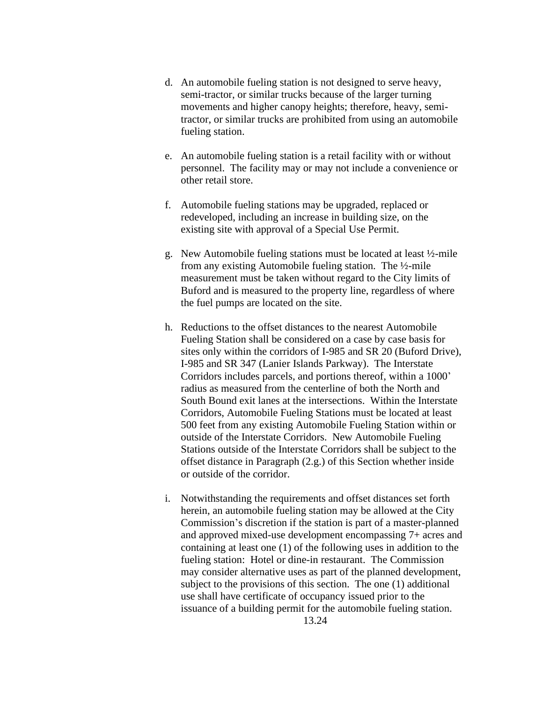- d. An automobile fueling station is not designed to serve heavy, semi-tractor, or similar trucks because of the larger turning movements and higher canopy heights; therefore, heavy, semitractor, or similar trucks are prohibited from using an automobile fueling station.
- e. An automobile fueling station is a retail facility with or without personnel. The facility may or may not include a convenience or other retail store.
- f. Automobile fueling stations may be upgraded, replaced or redeveloped, including an increase in building size, on the existing site with approval of a Special Use Permit.
- g. New Automobile fueling stations must be located at least ½-mile from any existing Automobile fueling station. The ½-mile measurement must be taken without regard to the City limits of Buford and is measured to the property line, regardless of where the fuel pumps are located on the site.
- h. Reductions to the offset distances to the nearest Automobile Fueling Station shall be considered on a case by case basis for sites only within the corridors of I-985 and SR 20 (Buford Drive), I-985 and SR 347 (Lanier Islands Parkway). The Interstate Corridors includes parcels, and portions thereof, within a 1000' radius as measured from the centerline of both the North and South Bound exit lanes at the intersections. Within the Interstate Corridors, Automobile Fueling Stations must be located at least 500 feet from any existing Automobile Fueling Station within or outside of the Interstate Corridors. New Automobile Fueling Stations outside of the Interstate Corridors shall be subject to the offset distance in Paragraph (2.g.) of this Section whether inside or outside of the corridor.
- i. Notwithstanding the requirements and offset distances set forth herein, an automobile fueling station may be allowed at the City Commission's discretion if the station is part of a master-planned and approved mixed-use development encompassing 7+ acres and containing at least one (1) of the following uses in addition to the fueling station: Hotel or dine-in restaurant. The Commission may consider alternative uses as part of the planned development, subject to the provisions of this section. The one (1) additional use shall have certificate of occupancy issued prior to the issuance of a building permit for the automobile fueling station. 13.24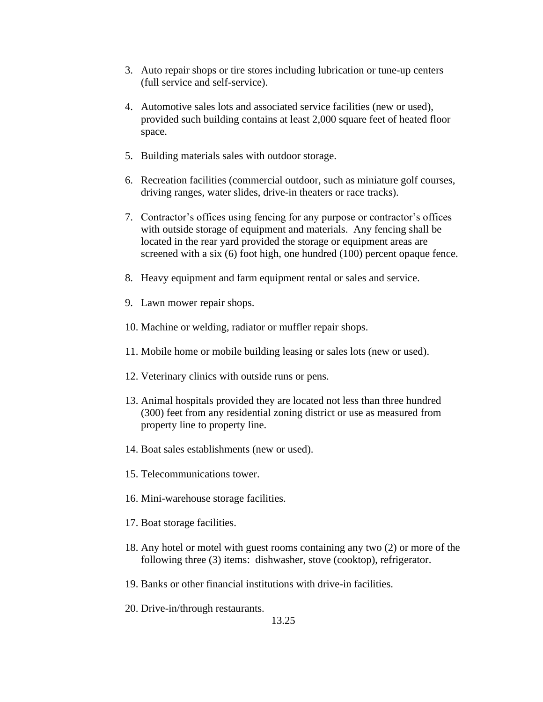- 3. Auto repair shops or tire stores including lubrication or tune-up centers (full service and self-service).
- 4. Automotive sales lots and associated service facilities (new or used), provided such building contains at least 2,000 square feet of heated floor space.
- 5. Building materials sales with outdoor storage.
- 6. Recreation facilities (commercial outdoor, such as miniature golf courses, driving ranges, water slides, drive-in theaters or race tracks).
- 7. Contractor's offices using fencing for any purpose or contractor's offices with outside storage of equipment and materials. Any fencing shall be located in the rear yard provided the storage or equipment areas are screened with a six (6) foot high, one hundred (100) percent opaque fence.
- 8. Heavy equipment and farm equipment rental or sales and service.
- 9. Lawn mower repair shops.
- 10. Machine or welding, radiator or muffler repair shops.
- 11. Mobile home or mobile building leasing or sales lots (new or used).
- 12. Veterinary clinics with outside runs or pens.
- 13. Animal hospitals provided they are located not less than three hundred (300) feet from any residential zoning district or use as measured from property line to property line.
- 14. Boat sales establishments (new or used).
- 15. Telecommunications tower.
- 16. Mini-warehouse storage facilities.
- 17. Boat storage facilities.
- 18. Any hotel or motel with guest rooms containing any two (2) or more of the following three (3) items: dishwasher, stove (cooktop), refrigerator.
- 19. Banks or other financial institutions with drive-in facilities.
- 20. Drive-in/through restaurants.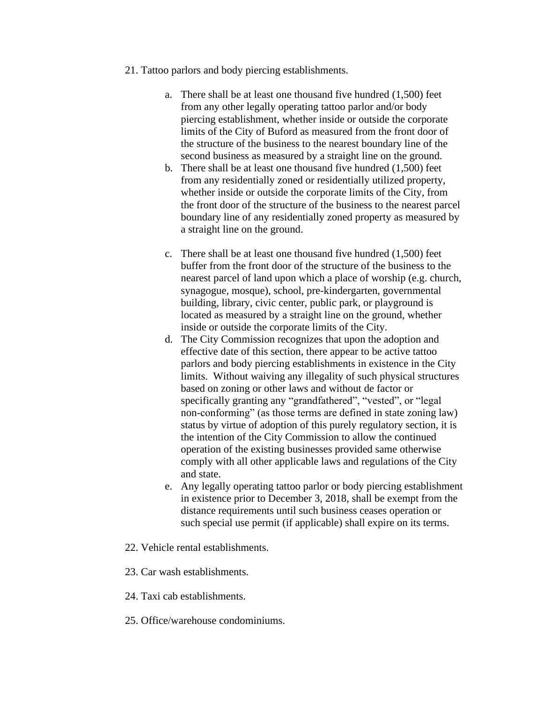- 21. Tattoo parlors and body piercing establishments.
	- a. There shall be at least one thousand five hundred (1,500) feet from any other legally operating tattoo parlor and/or body piercing establishment, whether inside or outside the corporate limits of the City of Buford as measured from the front door of the structure of the business to the nearest boundary line of the second business as measured by a straight line on the ground.
	- b. There shall be at least one thousand five hundred (1,500) feet from any residentially zoned or residentially utilized property, whether inside or outside the corporate limits of the City, from the front door of the structure of the business to the nearest parcel boundary line of any residentially zoned property as measured by a straight line on the ground.
	- c. There shall be at least one thousand five hundred (1,500) feet buffer from the front door of the structure of the business to the nearest parcel of land upon which a place of worship (e.g. church, synagogue, mosque), school, pre-kindergarten, governmental building, library, civic center, public park, or playground is located as measured by a straight line on the ground, whether inside or outside the corporate limits of the City.
	- d. The City Commission recognizes that upon the adoption and effective date of this section, there appear to be active tattoo parlors and body piercing establishments in existence in the City limits. Without waiving any illegality of such physical structures based on zoning or other laws and without de factor or specifically granting any "grandfathered", "vested", or "legal non-conforming" (as those terms are defined in state zoning law) status by virtue of adoption of this purely regulatory section, it is the intention of the City Commission to allow the continued operation of the existing businesses provided same otherwise comply with all other applicable laws and regulations of the City and state.
	- e. Any legally operating tattoo parlor or body piercing establishment in existence prior to December 3, 2018, shall be exempt from the distance requirements until such business ceases operation or such special use permit (if applicable) shall expire on its terms.
- 22. Vehicle rental establishments.
- 23. Car wash establishments.
- 24. Taxi cab establishments.
- 25. Office/warehouse condominiums.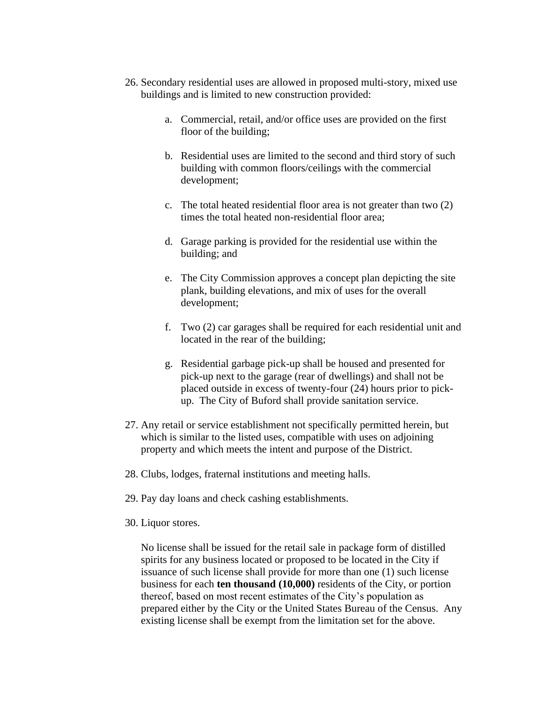- 26. Secondary residential uses are allowed in proposed multi-story, mixed use buildings and is limited to new construction provided:
	- a. Commercial, retail, and/or office uses are provided on the first floor of the building;
	- b. Residential uses are limited to the second and third story of such building with common floors/ceilings with the commercial development;
	- c. The total heated residential floor area is not greater than two (2) times the total heated non-residential floor area;
	- d. Garage parking is provided for the residential use within the building; and
	- e. The City Commission approves a concept plan depicting the site plank, building elevations, and mix of uses for the overall development;
	- f. Two (2) car garages shall be required for each residential unit and located in the rear of the building;
	- g. Residential garbage pick-up shall be housed and presented for pick-up next to the garage (rear of dwellings) and shall not be placed outside in excess of twenty-four (24) hours prior to pickup. The City of Buford shall provide sanitation service.
- 27. Any retail or service establishment not specifically permitted herein, but which is similar to the listed uses, compatible with uses on adjoining property and which meets the intent and purpose of the District.
- 28. Clubs, lodges, fraternal institutions and meeting halls.
- 29. Pay day loans and check cashing establishments.
- 30. Liquor stores.

No license shall be issued for the retail sale in package form of distilled spirits for any business located or proposed to be located in the City if issuance of such license shall provide for more than one (1) such license business for each **ten thousand (10,000)** residents of the City, or portion thereof, based on most recent estimates of the City's population as prepared either by the City or the United States Bureau of the Census. Any existing license shall be exempt from the limitation set for the above.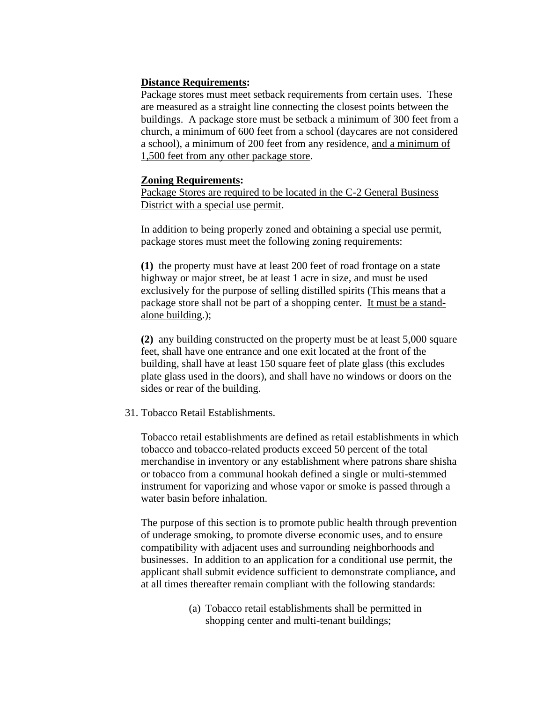### **Distance Requirements:**

Package stores must meet setback requirements from certain uses. These are measured as a straight line connecting the closest points between the buildings. A package store must be setback a minimum of 300 feet from a church, a minimum of 600 feet from a school (daycares are not considered a school), a minimum of 200 feet from any residence, and a minimum of 1,500 feet from any other package store.

### **Zoning Requirements:**

Package Stores are required to be located in the C-2 General Business District with a special use permit.

In addition to being properly zoned and obtaining a special use permit, package stores must meet the following zoning requirements:

**(1)** the property must have at least 200 feet of road frontage on a state highway or major street, be at least 1 acre in size, and must be used exclusively for the purpose of selling distilled spirits (This means that a package store shall not be part of a shopping center. It must be a standalone building.);

**(2)** any building constructed on the property must be at least 5,000 square feet, shall have one entrance and one exit located at the front of the building, shall have at least 150 square feet of plate glass (this excludes plate glass used in the doors), and shall have no windows or doors on the sides or rear of the building.

31. Tobacco Retail Establishments.

Tobacco retail establishments are defined as retail establishments in which tobacco and tobacco-related products exceed 50 percent of the total merchandise in inventory or any establishment where patrons share shisha or tobacco from a communal hookah defined a single or multi-stemmed instrument for vaporizing and whose vapor or smoke is passed through a water basin before inhalation.

The purpose of this section is to promote public health through prevention of underage smoking, to promote diverse economic uses, and to ensure compatibility with adjacent uses and surrounding neighborhoods and businesses. In addition to an application for a conditional use permit, the applicant shall submit evidence sufficient to demonstrate compliance, and at all times thereafter remain compliant with the following standards:

> (a) Tobacco retail establishments shall be permitted in shopping center and multi-tenant buildings;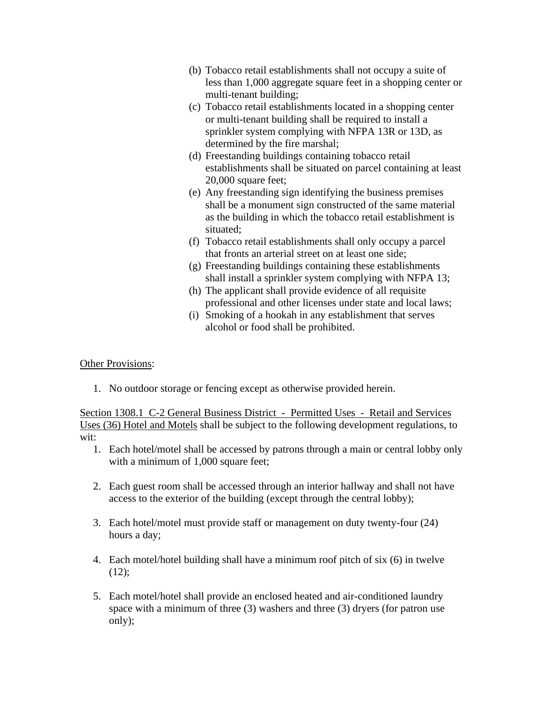- (b) Tobacco retail establishments shall not occupy a suite of less than 1,000 aggregate square feet in a shopping center or multi-tenant building;
- (c) Tobacco retail establishments located in a shopping center or multi-tenant building shall be required to install a sprinkler system complying with NFPA 13R or 13D, as determined by the fire marshal;
- (d) Freestanding buildings containing tobacco retail establishments shall be situated on parcel containing at least 20,000 square feet;
- (e) Any freestanding sign identifying the business premises shall be a monument sign constructed of the same material as the building in which the tobacco retail establishment is situated;
- (f) Tobacco retail establishments shall only occupy a parcel that fronts an arterial street on at least one side;
- (g) Freestanding buildings containing these establishments shall install a sprinkler system complying with NFPA 13;
- (h) The applicant shall provide evidence of all requisite professional and other licenses under state and local laws;
- (i) Smoking of a hookah in any establishment that serves alcohol or food shall be prohibited.

Other Provisions:

1. No outdoor storage or fencing except as otherwise provided herein.

Section 1308.1 C-2 General Business District - Permitted Uses - Retail and Services Uses (36) Hotel and Motels shall be subject to the following development regulations, to wit:

- 1. Each hotel/motel shall be accessed by patrons through a main or central lobby only with a minimum of 1,000 square feet;
- 2. Each guest room shall be accessed through an interior hallway and shall not have access to the exterior of the building (except through the central lobby);
- 3. Each hotel/motel must provide staff or management on duty twenty-four (24) hours a day;
- 4. Each motel/hotel building shall have a minimum roof pitch of six (6) in twelve  $(12)$ ;
- 5. Each motel/hotel shall provide an enclosed heated and air-conditioned laundry space with a minimum of three (3) washers and three (3) dryers (for patron use only);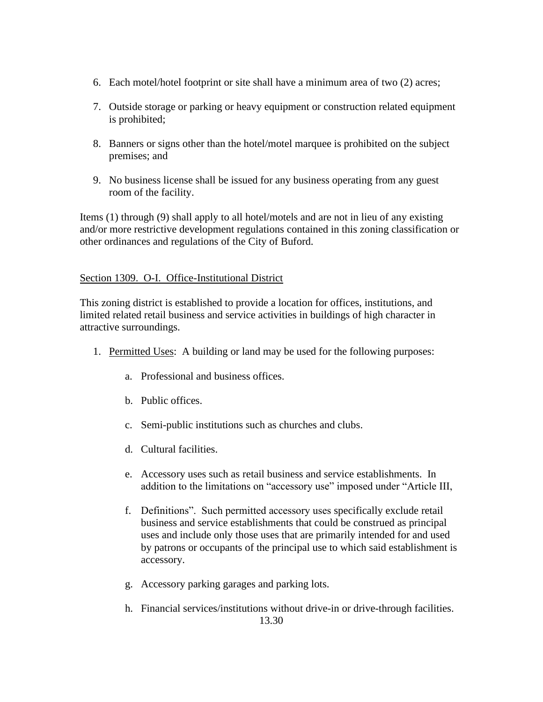- 6. Each motel/hotel footprint or site shall have a minimum area of two (2) acres;
- 7. Outside storage or parking or heavy equipment or construction related equipment is prohibited;
- 8. Banners or signs other than the hotel/motel marquee is prohibited on the subject premises; and
- 9. No business license shall be issued for any business operating from any guest room of the facility.

Items (1) through (9) shall apply to all hotel/motels and are not in lieu of any existing and/or more restrictive development regulations contained in this zoning classification or other ordinances and regulations of the City of Buford.

## Section 1309. O-I. Office-Institutional District

This zoning district is established to provide a location for offices, institutions, and limited related retail business and service activities in buildings of high character in attractive surroundings.

- 1. Permitted Uses: A building or land may be used for the following purposes:
	- a. Professional and business offices.
	- b. Public offices.
	- c. Semi-public institutions such as churches and clubs.
	- d. Cultural facilities.
	- e. Accessory uses such as retail business and service establishments. In addition to the limitations on "accessory use" imposed under "Article III,
	- f. Definitions". Such permitted accessory uses specifically exclude retail business and service establishments that could be construed as principal uses and include only those uses that are primarily intended for and used by patrons or occupants of the principal use to which said establishment is accessory.
	- g. Accessory parking garages and parking lots.
	- h. Financial services/institutions without drive-in or drive-through facilities. 13.30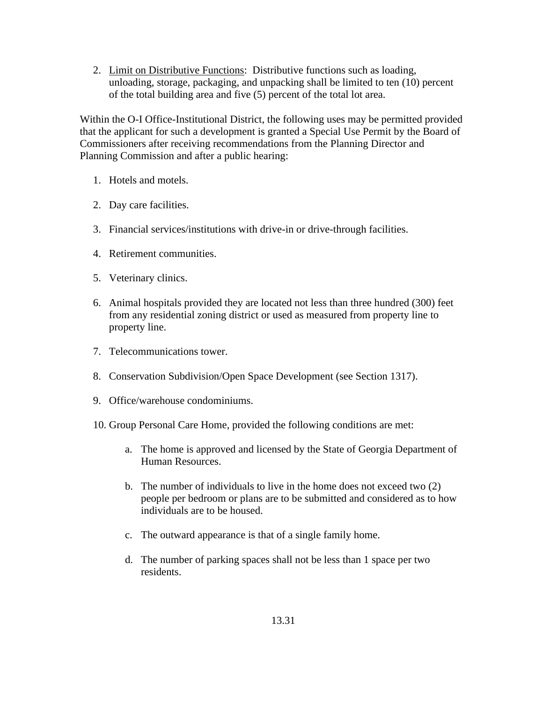2. Limit on Distributive Functions: Distributive functions such as loading, unloading, storage, packaging, and unpacking shall be limited to ten (10) percent of the total building area and five (5) percent of the total lot area.

Within the O-I Office-Institutional District, the following uses may be permitted provided that the applicant for such a development is granted a Special Use Permit by the Board of Commissioners after receiving recommendations from the Planning Director and Planning Commission and after a public hearing:

- 1. Hotels and motels.
- 2. Day care facilities.
- 3. Financial services/institutions with drive-in or drive-through facilities.
- 4. Retirement communities.
- 5. Veterinary clinics.
- 6. Animal hospitals provided they are located not less than three hundred (300) feet from any residential zoning district or used as measured from property line to property line.
- 7. Telecommunications tower.
- 8. Conservation Subdivision/Open Space Development (see Section 1317).
- 9. Office/warehouse condominiums.
- 10. Group Personal Care Home, provided the following conditions are met:
	- a. The home is approved and licensed by the State of Georgia Department of Human Resources.
	- b. The number of individuals to live in the home does not exceed two (2) people per bedroom or plans are to be submitted and considered as to how individuals are to be housed.
	- c. The outward appearance is that of a single family home.
	- d. The number of parking spaces shall not be less than 1 space per two residents.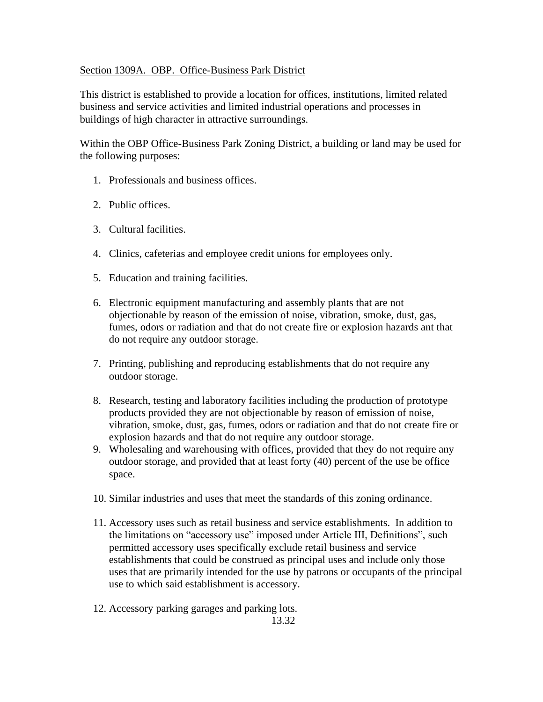### Section 1309A. OBP. Office-Business Park District

This district is established to provide a location for offices, institutions, limited related business and service activities and limited industrial operations and processes in buildings of high character in attractive surroundings.

Within the OBP Office-Business Park Zoning District, a building or land may be used for the following purposes:

- 1. Professionals and business offices.
- 2. Public offices.
- 3. Cultural facilities.
- 4. Clinics, cafeterias and employee credit unions for employees only.
- 5. Education and training facilities.
- 6. Electronic equipment manufacturing and assembly plants that are not objectionable by reason of the emission of noise, vibration, smoke, dust, gas, fumes, odors or radiation and that do not create fire or explosion hazards ant that do not require any outdoor storage.
- 7. Printing, publishing and reproducing establishments that do not require any outdoor storage.
- 8. Research, testing and laboratory facilities including the production of prototype products provided they are not objectionable by reason of emission of noise, vibration, smoke, dust, gas, fumes, odors or radiation and that do not create fire or explosion hazards and that do not require any outdoor storage.
- 9. Wholesaling and warehousing with offices, provided that they do not require any outdoor storage, and provided that at least forty (40) percent of the use be office space.
- 10. Similar industries and uses that meet the standards of this zoning ordinance.
- 11. Accessory uses such as retail business and service establishments. In addition to the limitations on "accessory use" imposed under Article III, Definitions", such permitted accessory uses specifically exclude retail business and service establishments that could be construed as principal uses and include only those uses that are primarily intended for the use by patrons or occupants of the principal use to which said establishment is accessory.
- 12. Accessory parking garages and parking lots.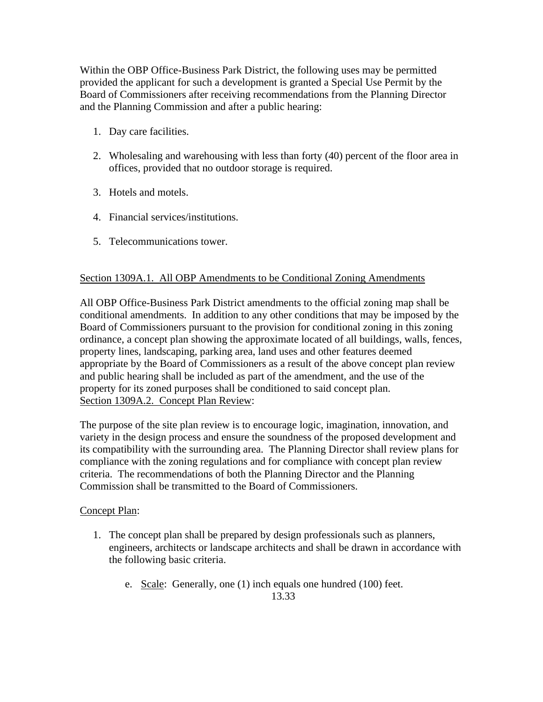Within the OBP Office-Business Park District, the following uses may be permitted provided the applicant for such a development is granted a Special Use Permit by the Board of Commissioners after receiving recommendations from the Planning Director and the Planning Commission and after a public hearing:

- 1. Day care facilities.
- 2. Wholesaling and warehousing with less than forty (40) percent of the floor area in offices, provided that no outdoor storage is required.
- 3. Hotels and motels.
- 4. Financial services/institutions.
- 5. Telecommunications tower.

### Section 1309A.1. All OBP Amendments to be Conditional Zoning Amendments

All OBP Office-Business Park District amendments to the official zoning map shall be conditional amendments. In addition to any other conditions that may be imposed by the Board of Commissioners pursuant to the provision for conditional zoning in this zoning ordinance, a concept plan showing the approximate located of all buildings, walls, fences, property lines, landscaping, parking area, land uses and other features deemed appropriate by the Board of Commissioners as a result of the above concept plan review and public hearing shall be included as part of the amendment, and the use of the property for its zoned purposes shall be conditioned to said concept plan. Section 1309A.2. Concept Plan Review:

The purpose of the site plan review is to encourage logic, imagination, innovation, and variety in the design process and ensure the soundness of the proposed development and its compatibility with the surrounding area. The Planning Director shall review plans for compliance with the zoning regulations and for compliance with concept plan review criteria. The recommendations of both the Planning Director and the Planning Commission shall be transmitted to the Board of Commissioners.

#### Concept Plan:

- 1. The concept plan shall be prepared by design professionals such as planners, engineers, architects or landscape architects and shall be drawn in accordance with the following basic criteria.
	- e. Scale: Generally, one (1) inch equals one hundred (100) feet. 13.33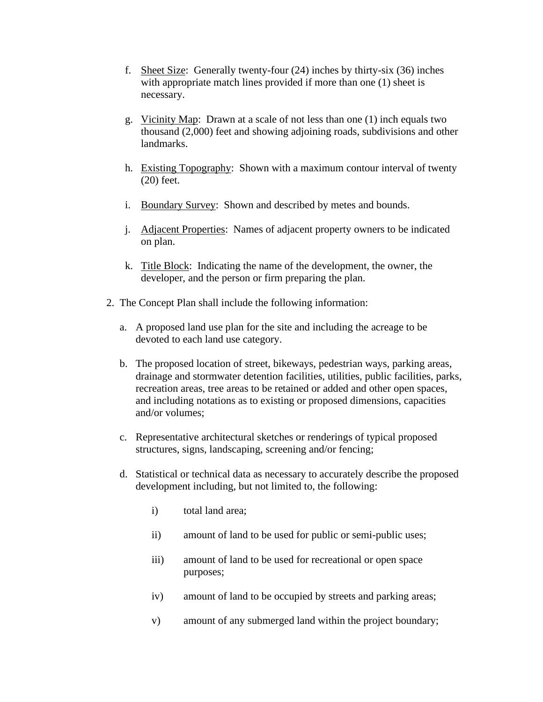- f. Sheet Size: Generally twenty-four (24) inches by thirty-six (36) inches with appropriate match lines provided if more than one (1) sheet is necessary.
- g. Vicinity Map: Drawn at a scale of not less than one (1) inch equals two thousand (2,000) feet and showing adjoining roads, subdivisions and other landmarks.
- h. Existing Topography: Shown with a maximum contour interval of twenty (20) feet.
- i. Boundary Survey: Shown and described by metes and bounds.
- j. Adjacent Properties: Names of adjacent property owners to be indicated on plan.
- k. Title Block: Indicating the name of the development, the owner, the developer, and the person or firm preparing the plan.
- 2. The Concept Plan shall include the following information:
	- a. A proposed land use plan for the site and including the acreage to be devoted to each land use category.
	- b. The proposed location of street, bikeways, pedestrian ways, parking areas, drainage and stormwater detention facilities, utilities, public facilities, parks, recreation areas, tree areas to be retained or added and other open spaces, and including notations as to existing or proposed dimensions, capacities and/or volumes;
	- c. Representative architectural sketches or renderings of typical proposed structures, signs, landscaping, screening and/or fencing;
	- d. Statistical or technical data as necessary to accurately describe the proposed development including, but not limited to, the following:
		- i) total land area;
		- ii) amount of land to be used for public or semi-public uses;
		- iii) amount of land to be used for recreational or open space purposes;
		- iv) amount of land to be occupied by streets and parking areas;
		- v) amount of any submerged land within the project boundary;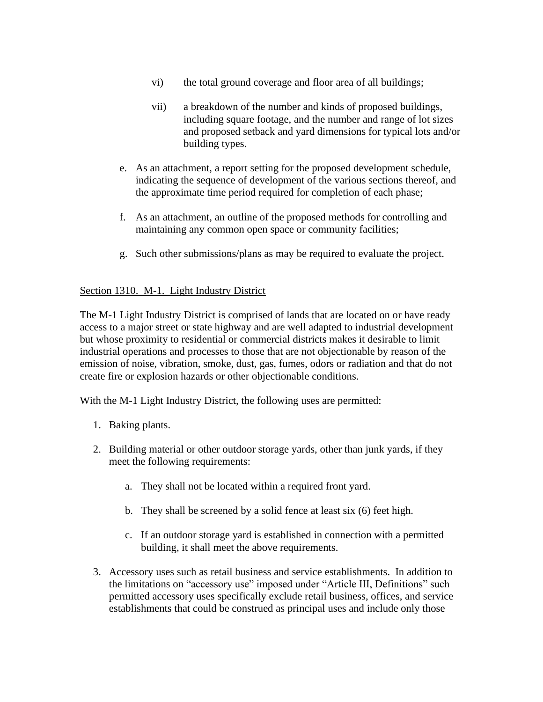- vi) the total ground coverage and floor area of all buildings;
- vii) a breakdown of the number and kinds of proposed buildings, including square footage, and the number and range of lot sizes and proposed setback and yard dimensions for typical lots and/or building types.
- e. As an attachment, a report setting for the proposed development schedule, indicating the sequence of development of the various sections thereof, and the approximate time period required for completion of each phase;
- f. As an attachment, an outline of the proposed methods for controlling and maintaining any common open space or community facilities;
- g. Such other submissions/plans as may be required to evaluate the project.

## Section 1310. M-1. Light Industry District

The M-1 Light Industry District is comprised of lands that are located on or have ready access to a major street or state highway and are well adapted to industrial development but whose proximity to residential or commercial districts makes it desirable to limit industrial operations and processes to those that are not objectionable by reason of the emission of noise, vibration, smoke, dust, gas, fumes, odors or radiation and that do not create fire or explosion hazards or other objectionable conditions.

With the M-1 Light Industry District, the following uses are permitted:

- 1. Baking plants.
- 2. Building material or other outdoor storage yards, other than junk yards, if they meet the following requirements:
	- a. They shall not be located within a required front yard.
	- b. They shall be screened by a solid fence at least six (6) feet high.
	- c. If an outdoor storage yard is established in connection with a permitted building, it shall meet the above requirements.
- 3. Accessory uses such as retail business and service establishments. In addition to the limitations on "accessory use" imposed under "Article III, Definitions" such permitted accessory uses specifically exclude retail business, offices, and service establishments that could be construed as principal uses and include only those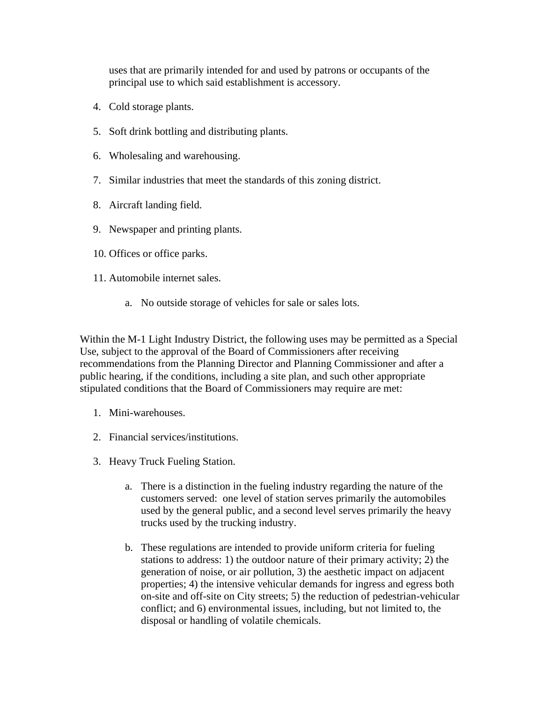uses that are primarily intended for and used by patrons or occupants of the principal use to which said establishment is accessory.

- 4. Cold storage plants.
- 5. Soft drink bottling and distributing plants.
- 6. Wholesaling and warehousing.
- 7. Similar industries that meet the standards of this zoning district.
- 8. Aircraft landing field.
- 9. Newspaper and printing plants.
- 10. Offices or office parks.
- 11. Automobile internet sales.
	- a. No outside storage of vehicles for sale or sales lots.

Within the M-1 Light Industry District, the following uses may be permitted as a Special Use, subject to the approval of the Board of Commissioners after receiving recommendations from the Planning Director and Planning Commissioner and after a public hearing, if the conditions, including a site plan, and such other appropriate stipulated conditions that the Board of Commissioners may require are met:

- 1. Mini-warehouses.
- 2. Financial services/institutions.
- 3. Heavy Truck Fueling Station.
	- a. There is a distinction in the fueling industry regarding the nature of the customers served: one level of station serves primarily the automobiles used by the general public, and a second level serves primarily the heavy trucks used by the trucking industry.
	- b. These regulations are intended to provide uniform criteria for fueling stations to address: 1) the outdoor nature of their primary activity; 2) the generation of noise, or air pollution, 3) the aesthetic impact on adjacent properties; 4) the intensive vehicular demands for ingress and egress both on-site and off-site on City streets; 5) the reduction of pedestrian-vehicular conflict; and 6) environmental issues, including, but not limited to, the disposal or handling of volatile chemicals.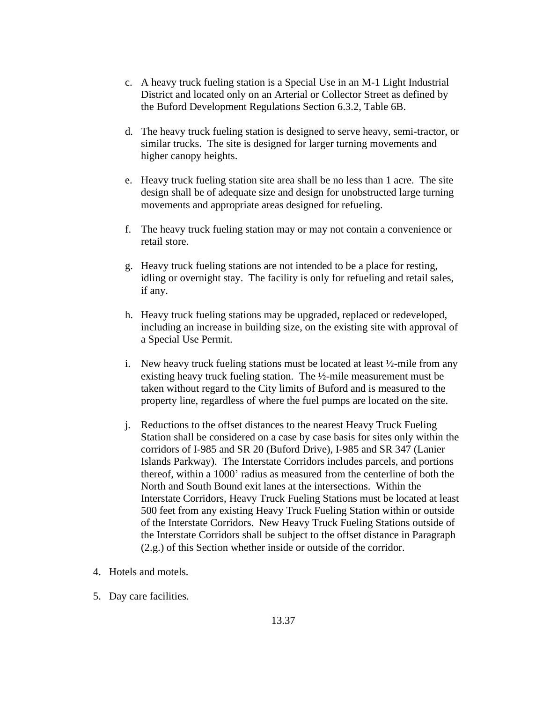- c. A heavy truck fueling station is a Special Use in an M-1 Light Industrial District and located only on an Arterial or Collector Street as defined by the Buford Development Regulations Section 6.3.2, Table 6B.
- d. The heavy truck fueling station is designed to serve heavy, semi-tractor, or similar trucks. The site is designed for larger turning movements and higher canopy heights.
- e. Heavy truck fueling station site area shall be no less than 1 acre. The site design shall be of adequate size and design for unobstructed large turning movements and appropriate areas designed for refueling.
- f. The heavy truck fueling station may or may not contain a convenience or retail store.
- g. Heavy truck fueling stations are not intended to be a place for resting, idling or overnight stay. The facility is only for refueling and retail sales, if any.
- h. Heavy truck fueling stations may be upgraded, replaced or redeveloped, including an increase in building size, on the existing site with approval of a Special Use Permit.
- i. New heavy truck fueling stations must be located at least  $\frac{1}{2}$ -mile from any existing heavy truck fueling station. The ½-mile measurement must be taken without regard to the City limits of Buford and is measured to the property line, regardless of where the fuel pumps are located on the site.
- j. Reductions to the offset distances to the nearest Heavy Truck Fueling Station shall be considered on a case by case basis for sites only within the corridors of I-985 and SR 20 (Buford Drive), I-985 and SR 347 (Lanier Islands Parkway). The Interstate Corridors includes parcels, and portions thereof, within a 1000' radius as measured from the centerline of both the North and South Bound exit lanes at the intersections. Within the Interstate Corridors, Heavy Truck Fueling Stations must be located at least 500 feet from any existing Heavy Truck Fueling Station within or outside of the Interstate Corridors. New Heavy Truck Fueling Stations outside of the Interstate Corridors shall be subject to the offset distance in Paragraph (2.g.) of this Section whether inside or outside of the corridor.
- 4. Hotels and motels.
- 5. Day care facilities.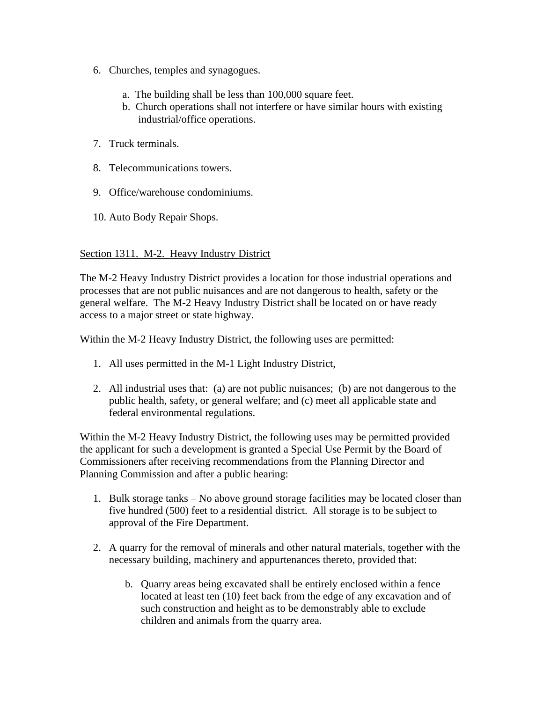- 6. Churches, temples and synagogues.
	- a. The building shall be less than 100,000 square feet.
	- b. Church operations shall not interfere or have similar hours with existing industrial/office operations.
- 7. Truck terminals.
- 8. Telecommunications towers.
- 9. Office/warehouse condominiums.
- 10. Auto Body Repair Shops.

### Section 1311. M-2. Heavy Industry District

The M-2 Heavy Industry District provides a location for those industrial operations and processes that are not public nuisances and are not dangerous to health, safety or the general welfare. The M-2 Heavy Industry District shall be located on or have ready access to a major street or state highway.

Within the M-2 Heavy Industry District, the following uses are permitted:

- 1. All uses permitted in the M-1 Light Industry District,
- 2. All industrial uses that: (a) are not public nuisances; (b) are not dangerous to the public health, safety, or general welfare; and (c) meet all applicable state and federal environmental regulations.

Within the M-2 Heavy Industry District, the following uses may be permitted provided the applicant for such a development is granted a Special Use Permit by the Board of Commissioners after receiving recommendations from the Planning Director and Planning Commission and after a public hearing:

- 1. Bulk storage tanks No above ground storage facilities may be located closer than five hundred (500) feet to a residential district. All storage is to be subject to approval of the Fire Department.
- 2. A quarry for the removal of minerals and other natural materials, together with the necessary building, machinery and appurtenances thereto, provided that:
	- b. Quarry areas being excavated shall be entirely enclosed within a fence located at least ten (10) feet back from the edge of any excavation and of such construction and height as to be demonstrably able to exclude children and animals from the quarry area.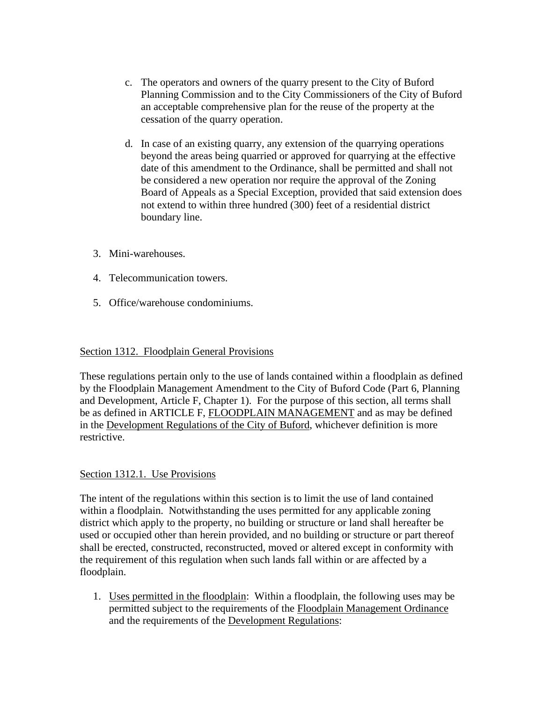- c. The operators and owners of the quarry present to the City of Buford Planning Commission and to the City Commissioners of the City of Buford an acceptable comprehensive plan for the reuse of the property at the cessation of the quarry operation.
- d. In case of an existing quarry, any extension of the quarrying operations beyond the areas being quarried or approved for quarrying at the effective date of this amendment to the Ordinance, shall be permitted and shall not be considered a new operation nor require the approval of the Zoning Board of Appeals as a Special Exception, provided that said extension does not extend to within three hundred (300) feet of a residential district boundary line.
- 3. Mini-warehouses.
- 4. Telecommunication towers.
- 5. Office/warehouse condominiums.

### Section 1312. Floodplain General Provisions

These regulations pertain only to the use of lands contained within a floodplain as defined by the Floodplain Management Amendment to the City of Buford Code (Part 6, Planning and Development, Article F, Chapter 1). For the purpose of this section, all terms shall be as defined in ARTICLE F, FLOODPLAIN MANAGEMENT and as may be defined in the Development Regulations of the City of Buford, whichever definition is more restrictive.

### Section 1312.1. Use Provisions

The intent of the regulations within this section is to limit the use of land contained within a floodplain. Notwithstanding the uses permitted for any applicable zoning district which apply to the property, no building or structure or land shall hereafter be used or occupied other than herein provided, and no building or structure or part thereof shall be erected, constructed, reconstructed, moved or altered except in conformity with the requirement of this regulation when such lands fall within or are affected by a floodplain.

1. Uses permitted in the floodplain: Within a floodplain, the following uses may be permitted subject to the requirements of the Floodplain Management Ordinance and the requirements of the Development Regulations: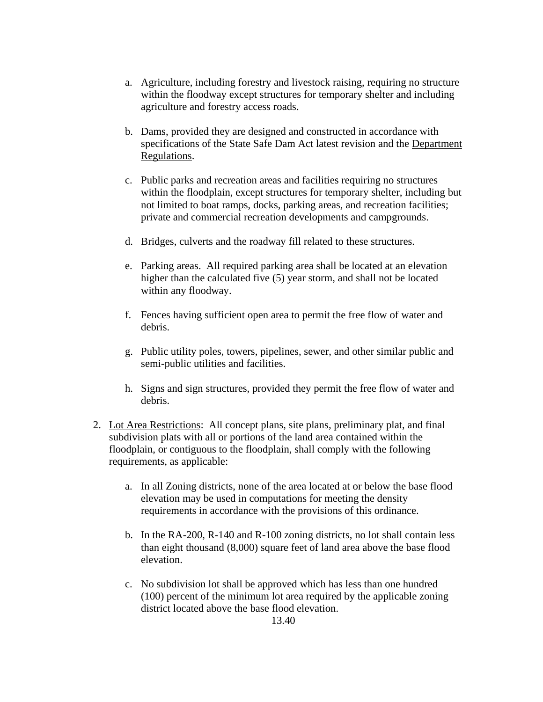- a. Agriculture, including forestry and livestock raising, requiring no structure within the floodway except structures for temporary shelter and including agriculture and forestry access roads.
- b. Dams, provided they are designed and constructed in accordance with specifications of the State Safe Dam Act latest revision and the Department Regulations.
- c. Public parks and recreation areas and facilities requiring no structures within the floodplain, except structures for temporary shelter, including but not limited to boat ramps, docks, parking areas, and recreation facilities; private and commercial recreation developments and campgrounds.
- d. Bridges, culverts and the roadway fill related to these structures.
- e. Parking areas. All required parking area shall be located at an elevation higher than the calculated five (5) year storm, and shall not be located within any floodway.
- f. Fences having sufficient open area to permit the free flow of water and debris.
- g. Public utility poles, towers, pipelines, sewer, and other similar public and semi-public utilities and facilities.
- h. Signs and sign structures, provided they permit the free flow of water and debris.
- 2. Lot Area Restrictions: All concept plans, site plans, preliminary plat, and final subdivision plats with all or portions of the land area contained within the floodplain, or contiguous to the floodplain, shall comply with the following requirements, as applicable:
	- a. In all Zoning districts, none of the area located at or below the base flood elevation may be used in computations for meeting the density requirements in accordance with the provisions of this ordinance.
	- b. In the RA-200, R-140 and R-100 zoning districts, no lot shall contain less than eight thousand (8,000) square feet of land area above the base flood elevation.
	- c. No subdivision lot shall be approved which has less than one hundred (100) percent of the minimum lot area required by the applicable zoning district located above the base flood elevation.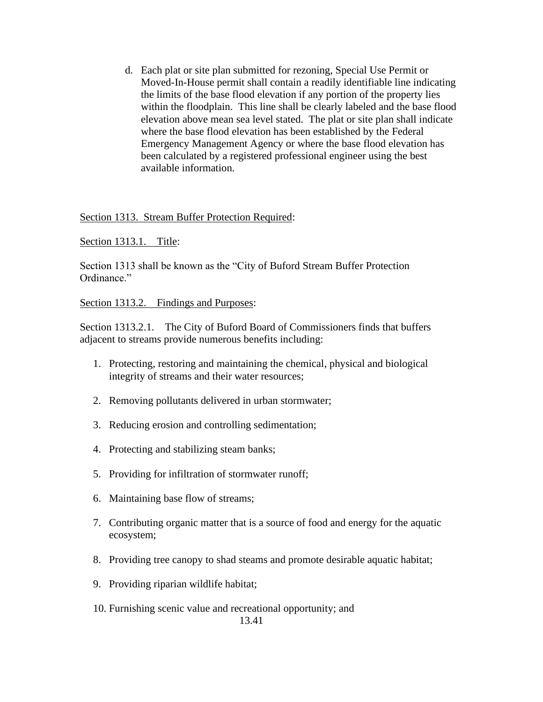d. Each plat or site plan submitted for rezoning, Special Use Permit or Moved-In-House permit shall contain a readily identifiable line indicating the limits of the base flood elevation if any portion of the property lies within the floodplain. This line shall be clearly labeled and the base flood elevation above mean sea level stated. The plat or site plan shall indicate where the base flood elevation has been established by the Federal Emergency Management Agency or where the base flood elevation has been calculated by a registered professional engineer using the best available information.

### Section 1313. Stream Buffer Protection Required:

### Section 1313.1. Title:

Section 1313 shall be known as the "City of Buford Stream Buffer Protection Ordinance."

#### Section 1313.2. Findings and Purposes:

Section 1313.2.1. The City of Buford Board of Commissioners finds that buffers adjacent to streams provide numerous benefits including:

- 1. Protecting, restoring and maintaining the chemical, physical and biological integrity of streams and their water resources;
- 2. Removing pollutants delivered in urban stormwater;
- 3. Reducing erosion and controlling sedimentation;
- 4. Protecting and stabilizing steam banks;
- 5. Providing for infiltration of stormwater runoff;
- 6. Maintaining base flow of streams;
- 7. Contributing organic matter that is a source of food and energy for the aquatic ecosystem;
- 8. Providing tree canopy to shad steams and promote desirable aquatic habitat;
- 9. Providing riparian wildlife habitat;
- 10. Furnishing scenic value and recreational opportunity; and 13.41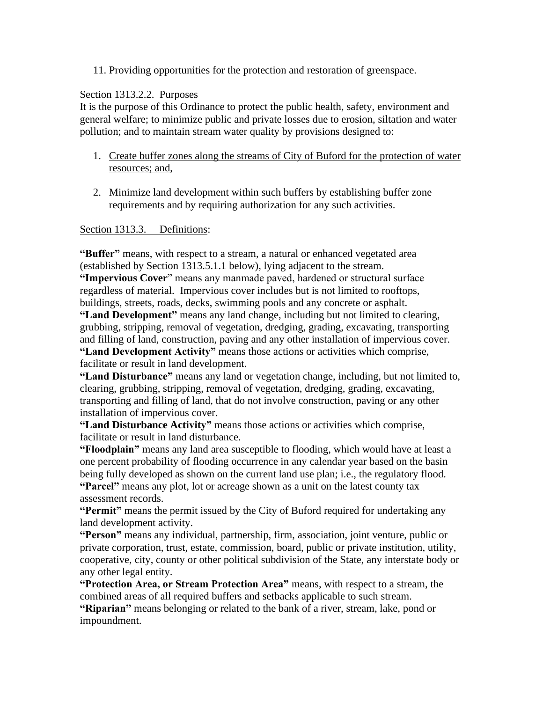### 11. Providing opportunities for the protection and restoration of greenspace.

### Section 1313.2.2. Purposes

It is the purpose of this Ordinance to protect the public health, safety, environment and general welfare; to minimize public and private losses due to erosion, siltation and water pollution; and to maintain stream water quality by provisions designed to:

- 1. Create buffer zones along the streams of City of Buford for the protection of water resources; and,
- 2. Minimize land development within such buffers by establishing buffer zone requirements and by requiring authorization for any such activities.

### Section 1313.3. Definitions:

**"Buffer"** means, with respect to a stream, a natural or enhanced vegetated area (established by Section 1313.5.1.1 below), lying adjacent to the stream.

**"Impervious Cover**" means any manmade paved, hardened or structural surface regardless of material. Impervious cover includes but is not limited to rooftops, buildings, streets, roads, decks, swimming pools and any concrete or asphalt.

**"Land Development"** means any land change, including but not limited to clearing, grubbing, stripping, removal of vegetation, dredging, grading, excavating, transporting and filling of land, construction, paving and any other installation of impervious cover.

**"Land Development Activity"** means those actions or activities which comprise, facilitate or result in land development.

**"Land Disturbance"** means any land or vegetation change, including, but not limited to, clearing, grubbing, stripping, removal of vegetation, dredging, grading, excavating, transporting and filling of land, that do not involve construction, paving or any other installation of impervious cover.

**"Land Disturbance Activity"** means those actions or activities which comprise, facilitate or result in land disturbance.

**"Floodplain"** means any land area susceptible to flooding, which would have at least a one percent probability of flooding occurrence in any calendar year based on the basin being fully developed as shown on the current land use plan; i.e., the regulatory flood. **"Parcel"** means any plot, lot or acreage shown as a unit on the latest county tax assessment records.

**"Permit"** means the permit issued by the City of Buford required for undertaking any land development activity.

**"Person"** means any individual, partnership, firm, association, joint venture, public or private corporation, trust, estate, commission, board, public or private institution, utility, cooperative, city, county or other political subdivision of the State, any interstate body or any other legal entity.

**"Protection Area, or Stream Protection Area"** means, with respect to a stream, the combined areas of all required buffers and setbacks applicable to such stream.

**"Riparian"** means belonging or related to the bank of a river, stream, lake, pond or impoundment.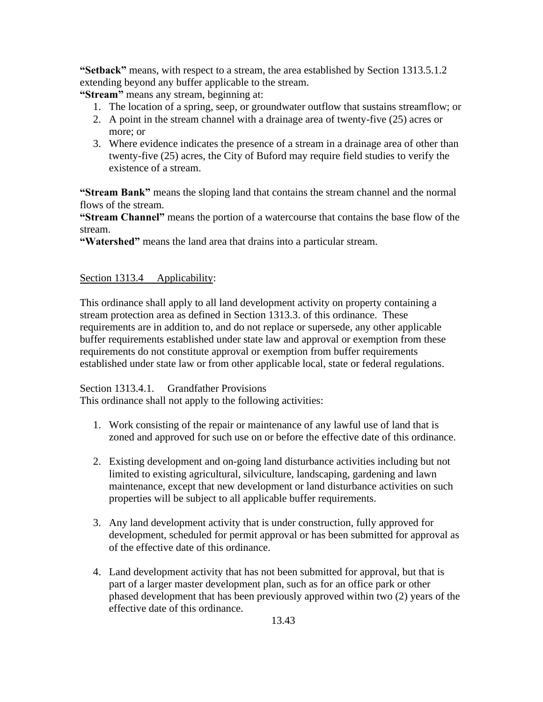**"Setback"** means, with respect to a stream, the area established by Section 1313.5.1.2 extending beyond any buffer applicable to the stream.

**"Stream"** means any stream, beginning at:

- 1. The location of a spring, seep, or groundwater outflow that sustains streamflow; or
- 2. A point in the stream channel with a drainage area of twenty-five (25) acres or more; or
- 3. Where evidence indicates the presence of a stream in a drainage area of other than twenty-five (25) acres, the City of Buford may require field studies to verify the existence of a stream.

**"Stream Bank"** means the sloping land that contains the stream channel and the normal flows of the stream.

**"Stream Channel"** means the portion of a watercourse that contains the base flow of the stream.

**"Watershed"** means the land area that drains into a particular stream.

### Section 1313.4 Applicability:

This ordinance shall apply to all land development activity on property containing a stream protection area as defined in Section 1313.3. of this ordinance. These requirements are in addition to, and do not replace or supersede, any other applicable buffer requirements established under state law and approval or exemption from these requirements do not constitute approval or exemption from buffer requirements established under state law or from other applicable local, state or federal regulations.

### Section 1313.4.1. Grandfather Provisions

This ordinance shall not apply to the following activities:

- 1. Work consisting of the repair or maintenance of any lawful use of land that is zoned and approved for such use on or before the effective date of this ordinance.
- 2. Existing development and on-going land disturbance activities including but not limited to existing agricultural, silviculture, landscaping, gardening and lawn maintenance, except that new development or land disturbance activities on such properties will be subject to all applicable buffer requirements.
- 3. Any land development activity that is under construction, fully approved for development, scheduled for permit approval or has been submitted for approval as of the effective date of this ordinance.
- 4. Land development activity that has not been submitted for approval, but that is part of a larger master development plan, such as for an office park or other phased development that has been previously approved within two (2) years of the effective date of this ordinance.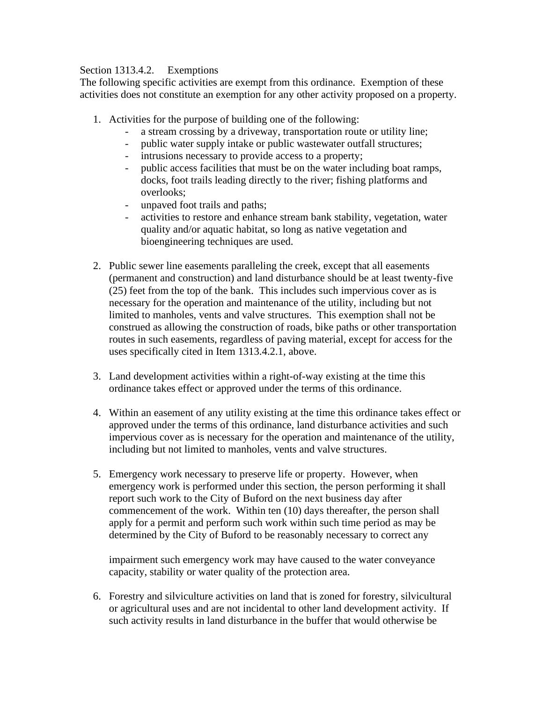### Section 1313.4.2. Exemptions

The following specific activities are exempt from this ordinance. Exemption of these activities does not constitute an exemption for any other activity proposed on a property.

- 1. Activities for the purpose of building one of the following:
	- a stream crossing by a driveway, transportation route or utility line;
	- public water supply intake or public wastewater outfall structures;
	- intrusions necessary to provide access to a property;
	- public access facilities that must be on the water including boat ramps, docks, foot trails leading directly to the river; fishing platforms and overlooks;
	- unpaved foot trails and paths;
	- activities to restore and enhance stream bank stability, vegetation, water quality and/or aquatic habitat, so long as native vegetation and bioengineering techniques are used.
- 2. Public sewer line easements paralleling the creek, except that all easements (permanent and construction) and land disturbance should be at least twenty-five (25) feet from the top of the bank. This includes such impervious cover as is necessary for the operation and maintenance of the utility, including but not limited to manholes, vents and valve structures. This exemption shall not be construed as allowing the construction of roads, bike paths or other transportation routes in such easements, regardless of paving material, except for access for the uses specifically cited in Item 1313.4.2.1, above.
- 3. Land development activities within a right-of-way existing at the time this ordinance takes effect or approved under the terms of this ordinance.
- 4. Within an easement of any utility existing at the time this ordinance takes effect or approved under the terms of this ordinance, land disturbance activities and such impervious cover as is necessary for the operation and maintenance of the utility, including but not limited to manholes, vents and valve structures.
- 5. Emergency work necessary to preserve life or property. However, when emergency work is performed under this section, the person performing it shall report such work to the City of Buford on the next business day after commencement of the work. Within ten (10) days thereafter, the person shall apply for a permit and perform such work within such time period as may be determined by the City of Buford to be reasonably necessary to correct any

impairment such emergency work may have caused to the water conveyance capacity, stability or water quality of the protection area.

6. Forestry and silviculture activities on land that is zoned for forestry, silvicultural or agricultural uses and are not incidental to other land development activity. If such activity results in land disturbance in the buffer that would otherwise be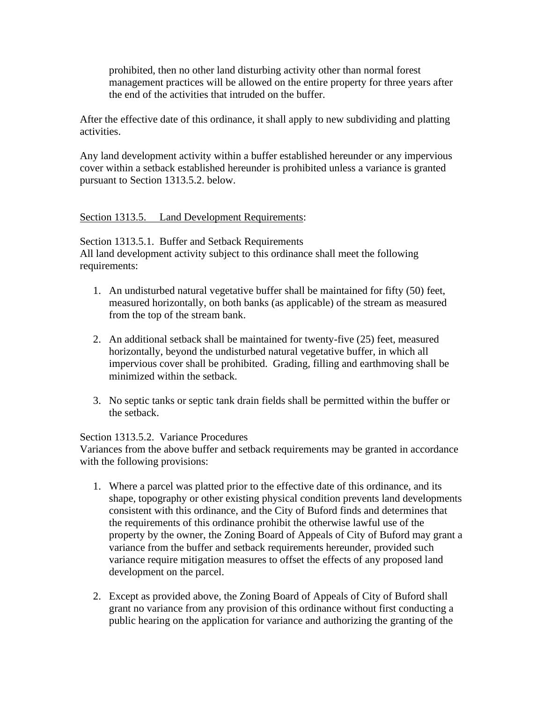prohibited, then no other land disturbing activity other than normal forest management practices will be allowed on the entire property for three years after the end of the activities that intruded on the buffer.

After the effective date of this ordinance, it shall apply to new subdividing and platting activities.

Any land development activity within a buffer established hereunder or any impervious cover within a setback established hereunder is prohibited unless a variance is granted pursuant to Section 1313.5.2. below.

### Section 1313.5. Land Development Requirements:

Section 1313.5.1. Buffer and Setback Requirements All land development activity subject to this ordinance shall meet the following requirements:

- 1. An undisturbed natural vegetative buffer shall be maintained for fifty (50) feet, measured horizontally, on both banks (as applicable) of the stream as measured from the top of the stream bank.
- 2. An additional setback shall be maintained for twenty-five (25) feet, measured horizontally, beyond the undisturbed natural vegetative buffer, in which all impervious cover shall be prohibited. Grading, filling and earthmoving shall be minimized within the setback.
- 3. No septic tanks or septic tank drain fields shall be permitted within the buffer or the setback.

### Section 1313.5.2. Variance Procedures

Variances from the above buffer and setback requirements may be granted in accordance with the following provisions:

- 1. Where a parcel was platted prior to the effective date of this ordinance, and its shape, topography or other existing physical condition prevents land developments consistent with this ordinance, and the City of Buford finds and determines that the requirements of this ordinance prohibit the otherwise lawful use of the property by the owner, the Zoning Board of Appeals of City of Buford may grant a variance from the buffer and setback requirements hereunder, provided such variance require mitigation measures to offset the effects of any proposed land development on the parcel.
- 2. Except as provided above, the Zoning Board of Appeals of City of Buford shall grant no variance from any provision of this ordinance without first conducting a public hearing on the application for variance and authorizing the granting of the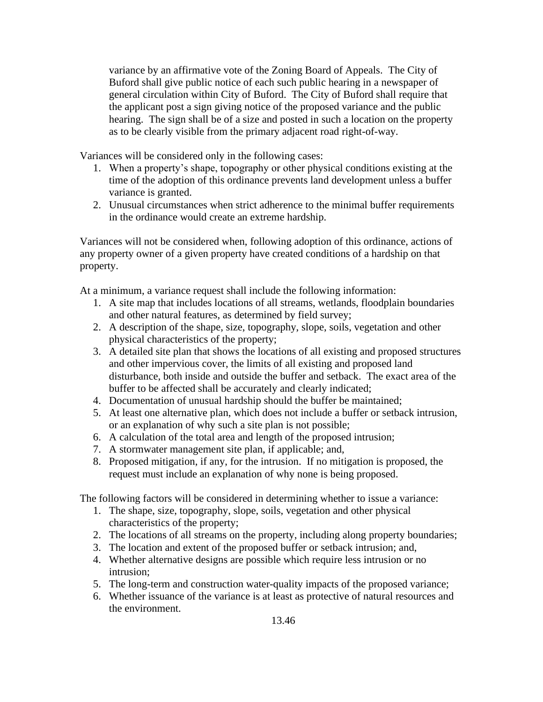variance by an affirmative vote of the Zoning Board of Appeals. The City of Buford shall give public notice of each such public hearing in a newspaper of general circulation within City of Buford. The City of Buford shall require that the applicant post a sign giving notice of the proposed variance and the public hearing. The sign shall be of a size and posted in such a location on the property as to be clearly visible from the primary adjacent road right-of-way.

Variances will be considered only in the following cases:

- 1. When a property's shape, topography or other physical conditions existing at the time of the adoption of this ordinance prevents land development unless a buffer variance is granted.
- 2. Unusual circumstances when strict adherence to the minimal buffer requirements in the ordinance would create an extreme hardship.

Variances will not be considered when, following adoption of this ordinance, actions of any property owner of a given property have created conditions of a hardship on that property.

At a minimum, a variance request shall include the following information:

- 1. A site map that includes locations of all streams, wetlands, floodplain boundaries and other natural features, as determined by field survey;
- 2. A description of the shape, size, topography, slope, soils, vegetation and other physical characteristics of the property;
- 3. A detailed site plan that shows the locations of all existing and proposed structures and other impervious cover, the limits of all existing and proposed land disturbance, both inside and outside the buffer and setback. The exact area of the buffer to be affected shall be accurately and clearly indicated;
- 4. Documentation of unusual hardship should the buffer be maintained;
- 5. At least one alternative plan, which does not include a buffer or setback intrusion, or an explanation of why such a site plan is not possible;
- 6. A calculation of the total area and length of the proposed intrusion;
- 7. A stormwater management site plan, if applicable; and,
- 8. Proposed mitigation, if any, for the intrusion. If no mitigation is proposed, the request must include an explanation of why none is being proposed.

The following factors will be considered in determining whether to issue a variance:

- 1. The shape, size, topography, slope, soils, vegetation and other physical characteristics of the property;
- 2. The locations of all streams on the property, including along property boundaries;
- 3. The location and extent of the proposed buffer or setback intrusion; and,
- 4. Whether alternative designs are possible which require less intrusion or no intrusion;
- 5. The long-term and construction water-quality impacts of the proposed variance;
- 6. Whether issuance of the variance is at least as protective of natural resources and the environment.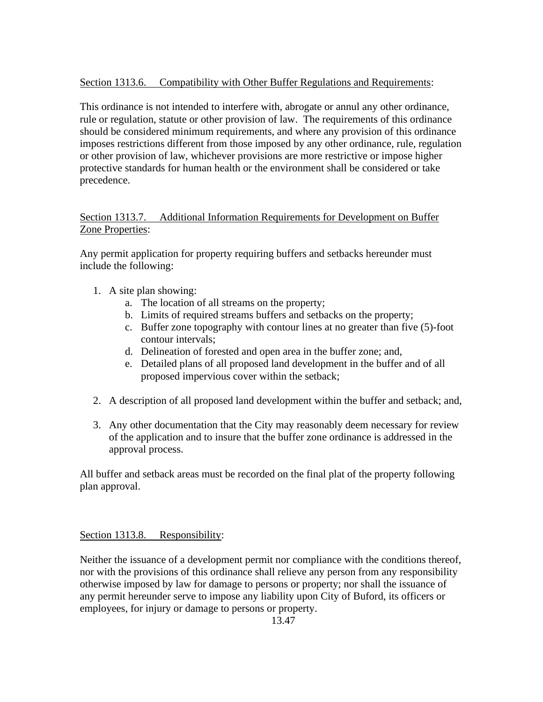## Section 1313.6. Compatibility with Other Buffer Regulations and Requirements:

This ordinance is not intended to interfere with, abrogate or annul any other ordinance, rule or regulation, statute or other provision of law. The requirements of this ordinance should be considered minimum requirements, and where any provision of this ordinance imposes restrictions different from those imposed by any other ordinance, rule, regulation or other provision of law, whichever provisions are more restrictive or impose higher protective standards for human health or the environment shall be considered or take precedence.

## Section 1313.7. Additional Information Requirements for Development on Buffer Zone Properties:

Any permit application for property requiring buffers and setbacks hereunder must include the following:

- 1. A site plan showing:
	- a. The location of all streams on the property;
	- b. Limits of required streams buffers and setbacks on the property;
	- c. Buffer zone topography with contour lines at no greater than five (5)-foot contour intervals;
	- d. Delineation of forested and open area in the buffer zone; and,
	- e. Detailed plans of all proposed land development in the buffer and of all proposed impervious cover within the setback;
- 2. A description of all proposed land development within the buffer and setback; and,
- 3. Any other documentation that the City may reasonably deem necessary for review of the application and to insure that the buffer zone ordinance is addressed in the approval process.

All buffer and setback areas must be recorded on the final plat of the property following plan approval.

## Section 1313.8. Responsibility:

Neither the issuance of a development permit nor compliance with the conditions thereof, nor with the provisions of this ordinance shall relieve any person from any responsibility otherwise imposed by law for damage to persons or property; nor shall the issuance of any permit hereunder serve to impose any liability upon City of Buford, its officers or employees, for injury or damage to persons or property.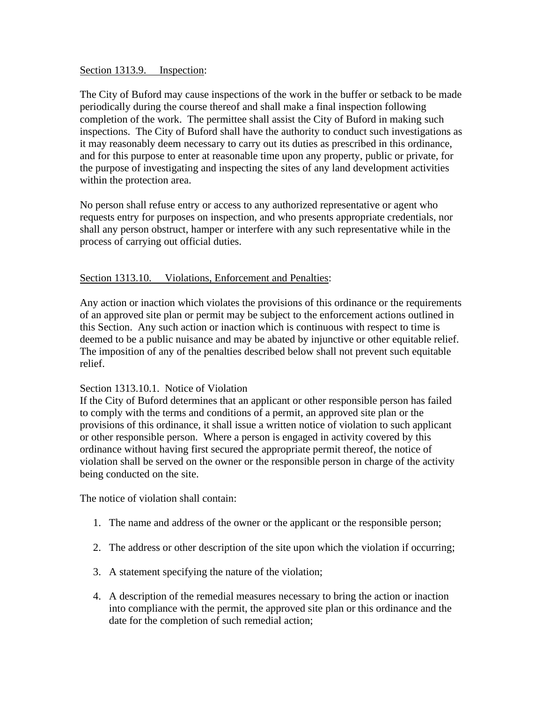Section 1313.9. Inspection:

The City of Buford may cause inspections of the work in the buffer or setback to be made periodically during the course thereof and shall make a final inspection following completion of the work. The permittee shall assist the City of Buford in making such inspections. The City of Buford shall have the authority to conduct such investigations as it may reasonably deem necessary to carry out its duties as prescribed in this ordinance, and for this purpose to enter at reasonable time upon any property, public or private, for the purpose of investigating and inspecting the sites of any land development activities within the protection area.

No person shall refuse entry or access to any authorized representative or agent who requests entry for purposes on inspection, and who presents appropriate credentials, nor shall any person obstruct, hamper or interfere with any such representative while in the process of carrying out official duties.

### Section 1313.10. Violations, Enforcement and Penalties:

Any action or inaction which violates the provisions of this ordinance or the requirements of an approved site plan or permit may be subject to the enforcement actions outlined in this Section. Any such action or inaction which is continuous with respect to time is deemed to be a public nuisance and may be abated by injunctive or other equitable relief. The imposition of any of the penalties described below shall not prevent such equitable relief.

### Section 1313.10.1. Notice of Violation

If the City of Buford determines that an applicant or other responsible person has failed to comply with the terms and conditions of a permit, an approved site plan or the provisions of this ordinance, it shall issue a written notice of violation to such applicant or other responsible person. Where a person is engaged in activity covered by this ordinance without having first secured the appropriate permit thereof, the notice of violation shall be served on the owner or the responsible person in charge of the activity being conducted on the site.

The notice of violation shall contain:

- 1. The name and address of the owner or the applicant or the responsible person;
- 2. The address or other description of the site upon which the violation if occurring;
- 3. A statement specifying the nature of the violation;
- 4. A description of the remedial measures necessary to bring the action or inaction into compliance with the permit, the approved site plan or this ordinance and the date for the completion of such remedial action;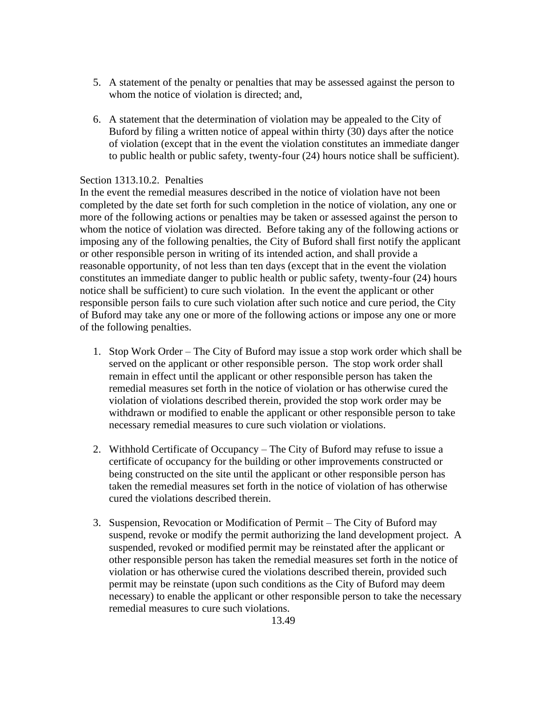- 5. A statement of the penalty or penalties that may be assessed against the person to whom the notice of violation is directed; and,
- 6. A statement that the determination of violation may be appealed to the City of Buford by filing a written notice of appeal within thirty (30) days after the notice of violation (except that in the event the violation constitutes an immediate danger to public health or public safety, twenty-four (24) hours notice shall be sufficient).

#### Section 1313.10.2. Penalties

In the event the remedial measures described in the notice of violation have not been completed by the date set forth for such completion in the notice of violation, any one or more of the following actions or penalties may be taken or assessed against the person to whom the notice of violation was directed. Before taking any of the following actions or imposing any of the following penalties, the City of Buford shall first notify the applicant or other responsible person in writing of its intended action, and shall provide a reasonable opportunity, of not less than ten days (except that in the event the violation constitutes an immediate danger to public health or public safety, twenty-four (24) hours notice shall be sufficient) to cure such violation. In the event the applicant or other responsible person fails to cure such violation after such notice and cure period, the City of Buford may take any one or more of the following actions or impose any one or more of the following penalties.

- 1. Stop Work Order The City of Buford may issue a stop work order which shall be served on the applicant or other responsible person. The stop work order shall remain in effect until the applicant or other responsible person has taken the remedial measures set forth in the notice of violation or has otherwise cured the violation of violations described therein, provided the stop work order may be withdrawn or modified to enable the applicant or other responsible person to take necessary remedial measures to cure such violation or violations.
- 2. Withhold Certificate of Occupancy The City of Buford may refuse to issue a certificate of occupancy for the building or other improvements constructed or being constructed on the site until the applicant or other responsible person has taken the remedial measures set forth in the notice of violation of has otherwise cured the violations described therein.
- 3. Suspension, Revocation or Modification of Permit The City of Buford may suspend, revoke or modify the permit authorizing the land development project. A suspended, revoked or modified permit may be reinstated after the applicant or other responsible person has taken the remedial measures set forth in the notice of violation or has otherwise cured the violations described therein, provided such permit may be reinstate (upon such conditions as the City of Buford may deem necessary) to enable the applicant or other responsible person to take the necessary remedial measures to cure such violations.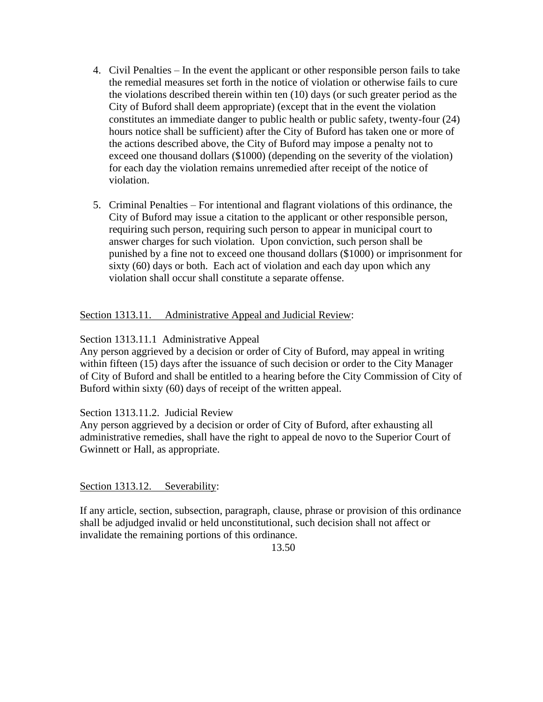- 4. Civil Penalties In the event the applicant or other responsible person fails to take the remedial measures set forth in the notice of violation or otherwise fails to cure the violations described therein within ten (10) days (or such greater period as the City of Buford shall deem appropriate) (except that in the event the violation constitutes an immediate danger to public health or public safety, twenty-four (24) hours notice shall be sufficient) after the City of Buford has taken one or more of the actions described above, the City of Buford may impose a penalty not to exceed one thousand dollars (\$1000) (depending on the severity of the violation) for each day the violation remains unremedied after receipt of the notice of violation.
- 5. Criminal Penalties For intentional and flagrant violations of this ordinance, the City of Buford may issue a citation to the applicant or other responsible person, requiring such person, requiring such person to appear in municipal court to answer charges for such violation. Upon conviction, such person shall be punished by a fine not to exceed one thousand dollars (\$1000) or imprisonment for sixty (60) days or both. Each act of violation and each day upon which any violation shall occur shall constitute a separate offense.

## Section 1313.11. Administrative Appeal and Judicial Review:

## Section 1313.11.1 Administrative Appeal

Any person aggrieved by a decision or order of City of Buford, may appeal in writing within fifteen (15) days after the issuance of such decision or order to the City Manager of City of Buford and shall be entitled to a hearing before the City Commission of City of Buford within sixty (60) days of receipt of the written appeal.

## Section 1313.11.2. Judicial Review

Any person aggrieved by a decision or order of City of Buford, after exhausting all administrative remedies, shall have the right to appeal de novo to the Superior Court of Gwinnett or Hall, as appropriate.

Section 1313.12. Severability:

If any article, section, subsection, paragraph, clause, phrase or provision of this ordinance shall be adjudged invalid or held unconstitutional, such decision shall not affect or invalidate the remaining portions of this ordinance.

13.50